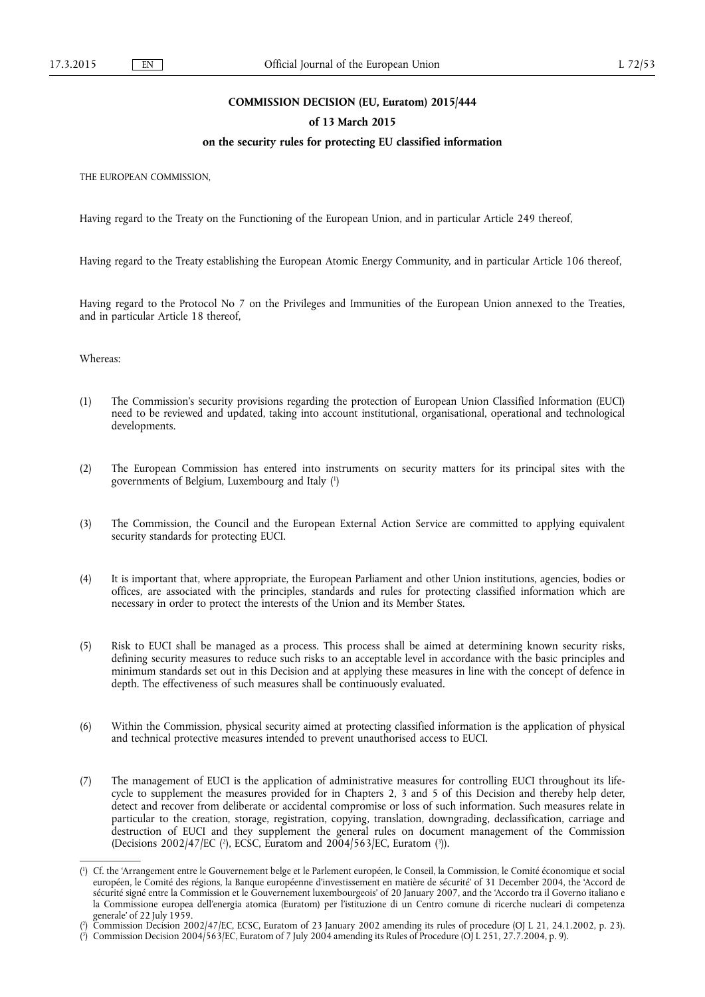### **COMMISSION DECISION (EU, Euratom) 2015/444**

### **of 13 March 2015**

### **on the security rules for protecting EU classified information**

THE EUROPEAN COMMISSION,

Having regard to the Treaty on the Functioning of the European Union, and in particular Article 249 thereof,

Having regard to the Treaty establishing the European Atomic Energy Community, and in particular Article 106 thereof,

Having regard to the Protocol No 7 on the Privileges and Immunities of the European Union annexed to the Treaties, and in particular Article 18 thereof,

Whereas:

- (1) The Commission's security provisions regarding the protection of European Union Classified Information (EUCI) need to be reviewed and updated, taking into account institutional, organisational, operational and technological developments.
- (2) The European Commission has entered into instruments on security matters for its principal sites with the governments of Belgium, Luxembourg and Italy ( 1 )
- (3) The Commission, the Council and the European External Action Service are committed to applying equivalent security standards for protecting EUCI.
- (4) It is important that, where appropriate, the European Parliament and other Union institutions, agencies, bodies or offices, are associated with the principles, standards and rules for protecting classified information which are necessary in order to protect the interests of the Union and its Member States.
- (5) Risk to EUCI shall be managed as a process. This process shall be aimed at determining known security risks, defining security measures to reduce such risks to an acceptable level in accordance with the basic principles and minimum standards set out in this Decision and at applying these measures in line with the concept of defence in depth. The effectiveness of such measures shall be continuously evaluated.
- (6) Within the Commission, physical security aimed at protecting classified information is the application of physical and technical protective measures intended to prevent unauthorised access to EUCI.
- (7) The management of EUCI is the application of administrative measures for controlling EUCI throughout its lifecycle to supplement the measures provided for in Chapters 2, 3 and 5 of this Decision and thereby help deter, detect and recover from deliberate or accidental compromise or loss of such information. Such measures relate in particular to the creation, storage, registration, copying, translation, downgrading, declassification, carriage and destruction of EUCI and they supplement the general rules on document management of the Commission (Decisions  $2002/47$  [EC (<sup>2</sup>), ECSC, Euratom and  $2004/563$  [EC, Euratom (<sup>3</sup>)).

<sup>(</sup> 1 ) Cf. the 'Arrangement entre le Gouvernement belge et le Parlement européen, le Conseil, la Commission, le Comité économique et social européen, le Comité des régions, la Banque européenne d'investissement en matière de sécurité' of 31 December 2004, the 'Accord de sécurité signé entre la Commission et le Gouvernement luxembourgeois' of 20 January 2007, and the 'Accordo tra il Governo italiano e la Commissione europea dell'energia atomica (Euratom) per l'istituzione di un Centro comune di ricerche nucleari di competenza generale' of 22 July 1959.

<sup>(</sup> 2 ) Commission Decision 2002/47/EC, ECSC, Euratom of 23 January 2002 amending its rules of procedure (OJ L 21, 24.1.2002, p. 23).

<sup>(</sup> 3 ) Commission Decision 2004/563/EC, Euratom of 7 July 2004 amending its Rules of Procedure (OJ L 251, 27.7.2004, p. 9).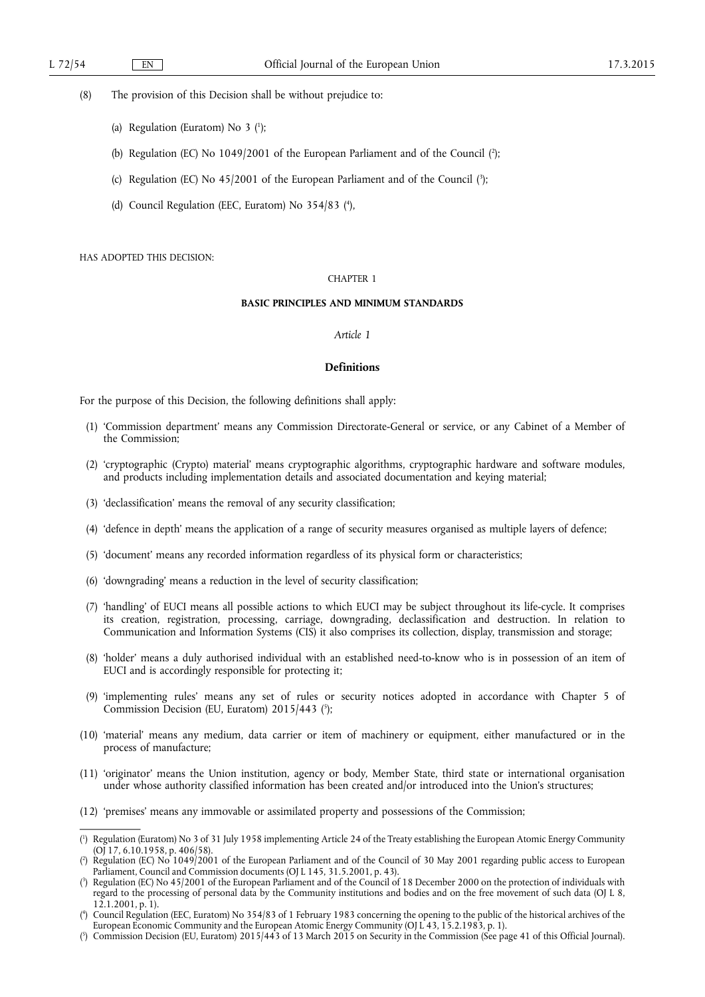(8) The provision of this Decision shall be without prejudice to:

- (a) Regulation (Euratom) No 3  $(1)$ ;
- (b) Regulation (EC) No 1049/2001 of the European Parliament and of the Council (2);
- (c) Regulation (EC) No  $45/2001$  of the European Parliament and of the Council  $(3)$ ;
- (d) Council Regulation (EEC, Euratom) No 354/83 ( 4 ),

#### HAS ADOPTED THIS DECISION:

### CHAPTER 1

#### **BASIC PRINCIPLES AND MINIMUM STANDARDS**

#### *Article 1*

#### **Definitions**

For the purpose of this Decision, the following definitions shall apply:

- (1) 'Commission department' means any Commission Directorate-General or service, or any Cabinet of a Member of the Commission;
- (2) 'cryptographic (Crypto) material' means cryptographic algorithms, cryptographic hardware and software modules, and products including implementation details and associated documentation and keying material;
- (3) 'declassification' means the removal of any security classification;
- (4) 'defence in depth' means the application of a range of security measures organised as multiple layers of defence;
- (5) 'document' means any recorded information regardless of its physical form or characteristics;
- (6) 'downgrading' means a reduction in the level of security classification;
- (7) 'handling' of EUCI means all possible actions to which EUCI may be subject throughout its life-cycle. It comprises its creation, registration, processing, carriage, downgrading, declassification and destruction. In relation to Communication and Information Systems (CIS) it also comprises its collection, display, transmission and storage;
- (8) 'holder' means a duly authorised individual with an established need-to-know who is in possession of an item of EUCI and is accordingly responsible for protecting it;
- (9) 'implementing rules' means any set of rules or security notices adopted in accordance with Chapter 5 of Commission Decision (EU, Euratom) 2015/443 ( 5 );
- (10) 'material' means any medium, data carrier or item of machinery or equipment, either manufactured or in the process of manufacture;
- (11) 'originator' means the Union institution, agency or body, Member State, third state or international organisation under whose authority classified information has been created and/or introduced into the Union's structures;
- (12) 'premises' means any immovable or assimilated property and possessions of the Commission;

<sup>(</sup> 1 ) Regulation (Euratom) No 3 of 31 July 1958 implementing Article 24 of the Treaty establishing the European Atomic Energy Community (OJ 17, 6.10.1958, p. 406/58).

<sup>(</sup> 2 ) Regulation (EC) No 1049/2001 of the European Parliament and of the Council of 30 May 2001 regarding public access to European Parliament, Council and Commission documents (OJ L 145, 31.5.2001, p. 43).

<sup>(</sup> 3 ) Regulation (EC) No 45/2001 of the European Parliament and of the Council of 18 December 2000 on the protection of individuals with regard to the processing of personal data by the Community institutions and bodies and on the free movement of such data (OJ L 8,  $12.1.2001, p. 1$ ).

<sup>(</sup> 4 ) Council Regulation (EEC, Euratom) No 354/83 of 1 February 1983 concerning the opening to the public of the historical archives of the European Economic Community and the European Atomic Energy Community (OJ L 43, 15.2.1983, p. 1).

<sup>(</sup> 5 ) Commission Decision (EU, Euratom) 2015/443 of 13 March 2015 on Security in the Commission (See page 41 of this Official Journal).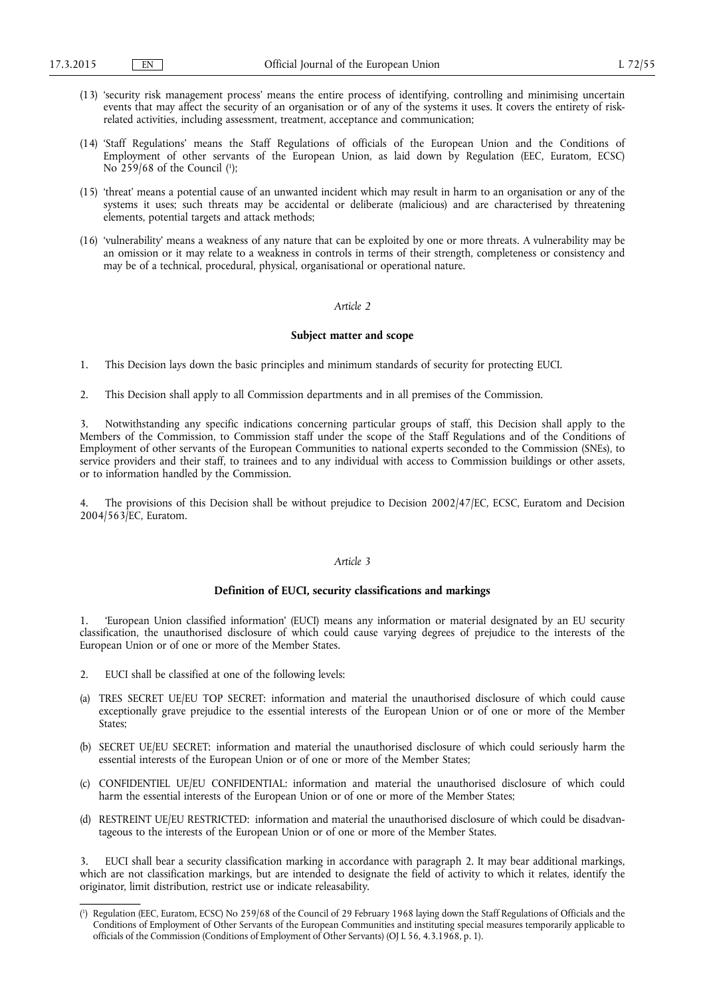- (13) 'security risk management process' means the entire process of identifying, controlling and minimising uncertain events that may affect the security of an organisation or of any of the systems it uses. It covers the entirety of riskrelated activities, including assessment, treatment, acceptance and communication;
- (14) 'Staff Regulations' means the Staff Regulations of officials of the European Union and the Conditions of Employment of other servants of the European Union, as laid down by Regulation (EEC, Euratom, ECSC) No 259/68 of the Council  $(1)$ ;
- (15) 'threat' means a potential cause of an unwanted incident which may result in harm to an organisation or any of the systems it uses; such threats may be accidental or deliberate (malicious) and are characterised by threatening elements, potential targets and attack methods;
- (16) 'vulnerability' means a weakness of any nature that can be exploited by one or more threats. A vulnerability may be an omission or it may relate to a weakness in controls in terms of their strength, completeness or consistency and may be of a technical, procedural, physical, organisational or operational nature.

#### **Subject matter and scope**

- 1. This Decision lays down the basic principles and minimum standards of security for protecting EUCI.
- 2. This Decision shall apply to all Commission departments and in all premises of the Commission.

3. Notwithstanding any specific indications concerning particular groups of staff, this Decision shall apply to the Members of the Commission, to Commission staff under the scope of the Staff Regulations and of the Conditions of Employment of other servants of the European Communities to national experts seconded to the Commission (SNEs), to service providers and their staff, to trainees and to any individual with access to Commission buildings or other assets, or to information handled by the Commission.

The provisions of this Decision shall be without prejudice to Decision 2002/47/EC, ECSC, Euratom and Decision 2004/563/EC, Euratom.

#### *Article 3*

#### **Definition of EUCI, security classifications and markings**

1. 'European Union classified information' (EUCI) means any information or material designated by an EU security classification, the unauthorised disclosure of which could cause varying degrees of prejudice to the interests of the European Union or of one or more of the Member States.

- 2. EUCI shall be classified at one of the following levels:
- (a) TRES SECRET UE/EU TOP SECRET: information and material the unauthorised disclosure of which could cause exceptionally grave prejudice to the essential interests of the European Union or of one or more of the Member States;
- (b) SECRET UE/EU SECRET: information and material the unauthorised disclosure of which could seriously harm the essential interests of the European Union or of one or more of the Member States;
- (c) CONFIDENTIEL UE/EU CONFIDENTIAL: information and material the unauthorised disclosure of which could harm the essential interests of the European Union or of one or more of the Member States;
- (d) RESTREINT UE/EU RESTRICTED: information and material the unauthorised disclosure of which could be disadvantageous to the interests of the European Union or of one or more of the Member States.

EUCI shall bear a security classification marking in accordance with paragraph 2. It may bear additional markings, which are not classification markings, but are intended to designate the field of activity to which it relates, identify the originator, limit distribution, restrict use or indicate releasability.

<sup>(</sup> 1 ) Regulation (EEC, Euratom, ECSC) No 259/68 of the Council of 29 February 1968 laying down the Staff Regulations of Officials and the Conditions of Employment of Other Servants of the European Communities and instituting special measures temporarily applicable to officials of the Commission (Conditions of Employment of Other Servants) (OJ L 56, 4.3.1968, p. 1).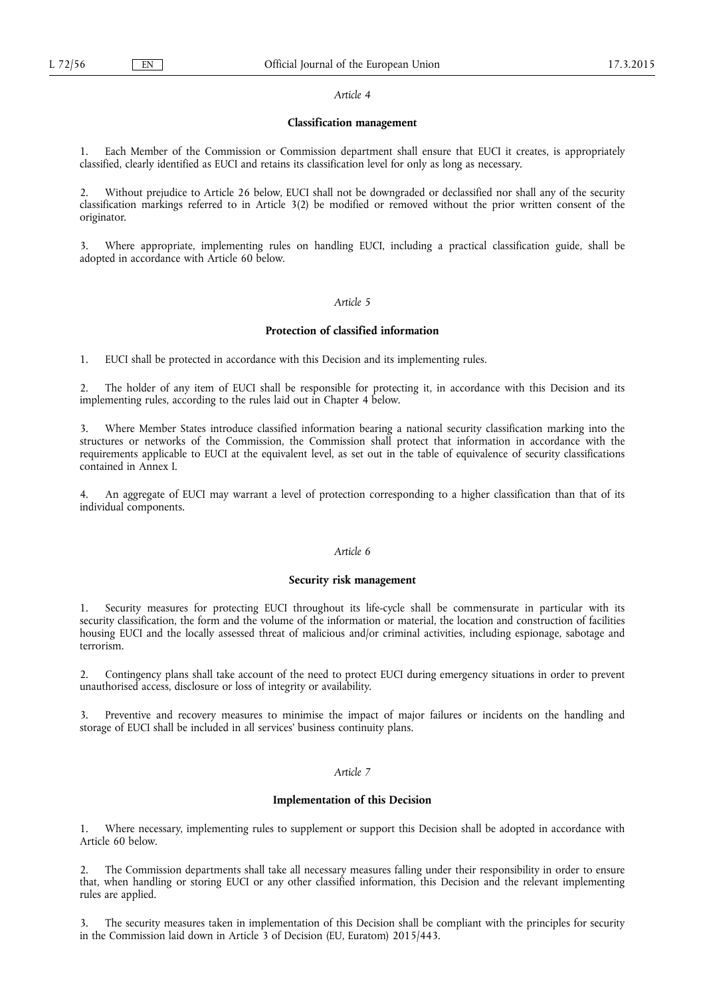### **Classification management**

1. Each Member of the Commission or Commission department shall ensure that EUCI it creates, is appropriately classified, clearly identified as EUCI and retains its classification level for only as long as necessary.

2. Without prejudice to Article 26 below, EUCI shall not be downgraded or declassified nor shall any of the security classification markings referred to in Article 3(2) be modified or removed without the prior written consent of the originator.

3. Where appropriate, implementing rules on handling EUCI, including a practical classification guide, shall be adopted in accordance with Article 60 below.

#### *Article 5*

### **Protection of classified information**

1. EUCI shall be protected in accordance with this Decision and its implementing rules.

2. The holder of any item of EUCI shall be responsible for protecting it, in accordance with this Decision and its implementing rules, according to the rules laid out in Chapter 4 below.

3. Where Member States introduce classified information bearing a national security classification marking into the structures or networks of the Commission, the Commission shall protect that information in accordance with the requirements applicable to EUCI at the equivalent level, as set out in the table of equivalence of security classifications contained in Annex I.

4. An aggregate of EUCI may warrant a level of protection corresponding to a higher classification than that of its individual components.

#### *Article 6*

#### **Security risk management**

Security measures for protecting EUCI throughout its life-cycle shall be commensurate in particular with its security classification, the form and the volume of the information or material, the location and construction of facilities housing EUCI and the locally assessed threat of malicious and/or criminal activities, including espionage, sabotage and terrorism.

2. Contingency plans shall take account of the need to protect EUCI during emergency situations in order to prevent unauthorised access, disclosure or loss of integrity or availability.

3. Preventive and recovery measures to minimise the impact of major failures or incidents on the handling and storage of EUCI shall be included in all services' business continuity plans.

### *Article 7*

#### **Implementation of this Decision**

1. Where necessary, implementing rules to supplement or support this Decision shall be adopted in accordance with Article 60 below.

2. The Commission departments shall take all necessary measures falling under their responsibility in order to ensure that, when handling or storing EUCI or any other classified information, this Decision and the relevant implementing rules are applied.

3. The security measures taken in implementation of this Decision shall be compliant with the principles for security in the Commission laid down in Article 3 of Decision (EU, Euratom) 2015/443.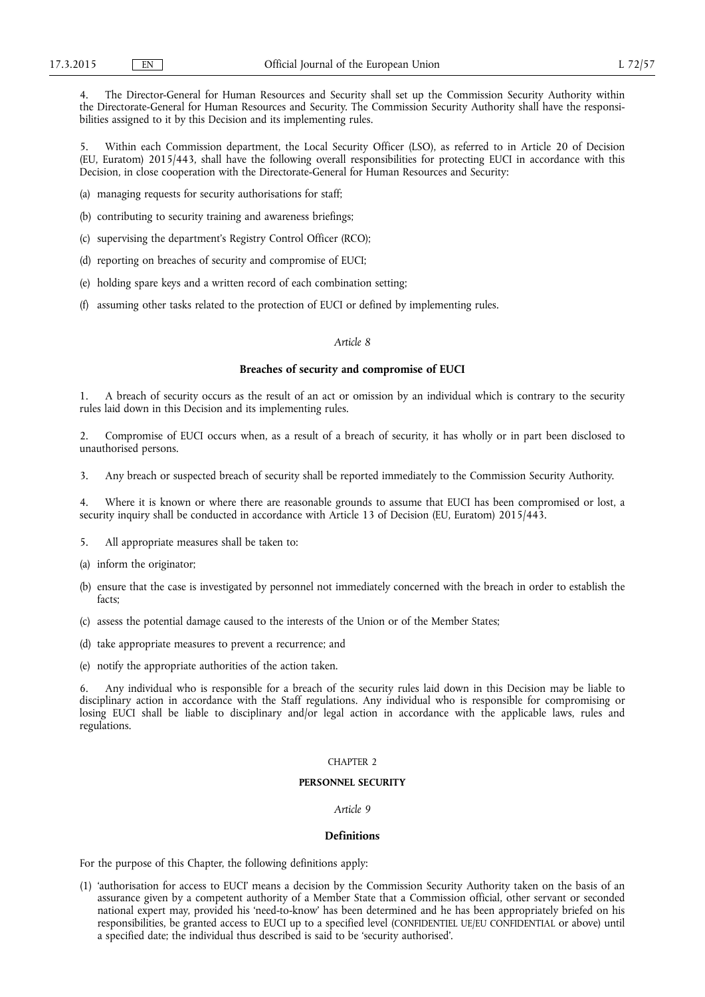4. The Director-General for Human Resources and Security shall set up the Commission Security Authority within the Directorate-General for Human Resources and Security. The Commission Security Authority shall have the responsibilities assigned to it by this Decision and its implementing rules.

5. Within each Commission department, the Local Security Officer (LSO), as referred to in Article 20 of Decision (EU, Euratom) 2015/443, shall have the following overall responsibilities for protecting EUCI in accordance with this Decision, in close cooperation with the Directorate-General for Human Resources and Security:

(a) managing requests for security authorisations for staff;

(b) contributing to security training and awareness briefings;

(c) supervising the department's Registry Control Officer (RCO);

- (d) reporting on breaches of security and compromise of EUCI;
- (e) holding spare keys and a written record of each combination setting;
- (f) assuming other tasks related to the protection of EUCI or defined by implementing rules.

### *Article 8*

### **Breaches of security and compromise of EUCI**

1. A breach of security occurs as the result of an act or omission by an individual which is contrary to the security rules laid down in this Decision and its implementing rules.

2. Compromise of EUCI occurs when, as a result of a breach of security, it has wholly or in part been disclosed to unauthorised persons.

3. Any breach or suspected breach of security shall be reported immediately to the Commission Security Authority.

4. Where it is known or where there are reasonable grounds to assume that EUCI has been compromised or lost, a security inquiry shall be conducted in accordance with Article 13 of Decision (EU, Euratom) 2015/443.

- 5. All appropriate measures shall be taken to:
- (a) inform the originator;
- (b) ensure that the case is investigated by personnel not immediately concerned with the breach in order to establish the facts;
- (c) assess the potential damage caused to the interests of the Union or of the Member States;
- (d) take appropriate measures to prevent a recurrence; and
- (e) notify the appropriate authorities of the action taken.

6. Any individual who is responsible for a breach of the security rules laid down in this Decision may be liable to disciplinary action in accordance with the Staff regulations. Any individual who is responsible for compromising or losing EUCI shall be liable to disciplinary and/or legal action in accordance with the applicable laws, rules and regulations.

#### $CHAPTFR 2$

#### **PERSONNEL SECURITY**

### *Article 9*

### **Definitions**

For the purpose of this Chapter, the following definitions apply:

(1) 'authorisation for access to EUCI' means a decision by the Commission Security Authority taken on the basis of an assurance given by a competent authority of a Member State that a Commission official, other servant or seconded national expert may, provided his 'need-to-know' has been determined and he has been appropriately briefed on his responsibilities, be granted access to EUCI up to a specified level (CONFIDENTIEL UE/EU CONFIDENTIAL or above) until a specified date; the individual thus described is said to be 'security authorised'.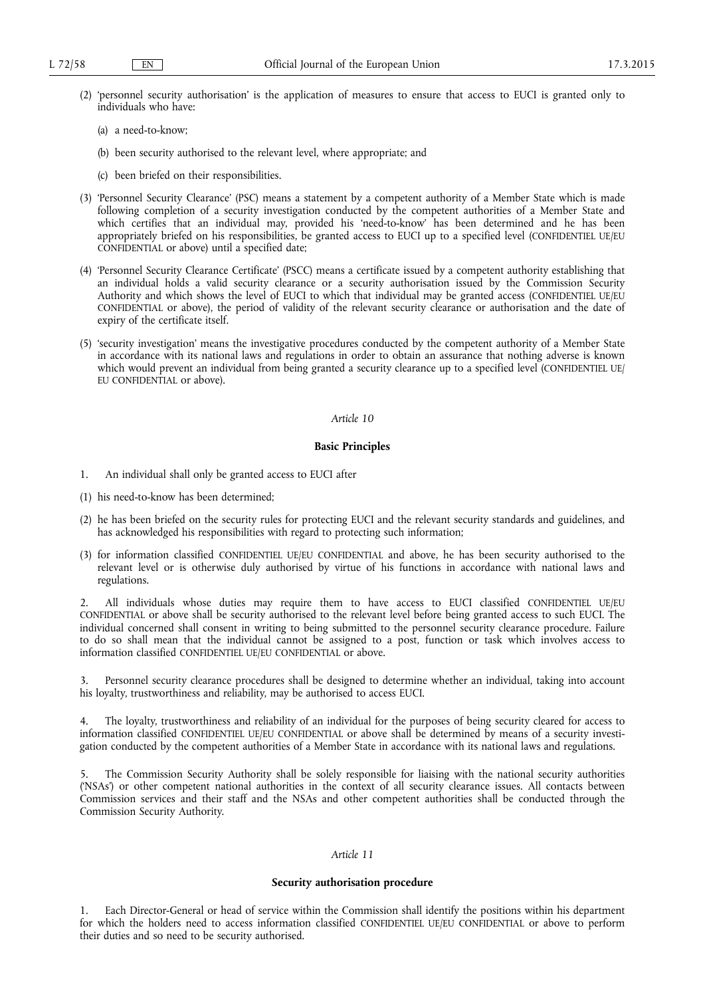- (2) 'personnel security authorisation' is the application of measures to ensure that access to EUCI is granted only to individuals who have:
	- (a) a need-to-know;
	- (b) been security authorised to the relevant level, where appropriate; and
	- (c) been briefed on their responsibilities.
- (3) 'Personnel Security Clearance' (PSC) means a statement by a competent authority of a Member State which is made following completion of a security investigation conducted by the competent authorities of a Member State and which certifies that an individual may, provided his 'need-to-know' has been determined and he has been appropriately briefed on his responsibilities, be granted access to EUCI up to a specified level (CONFIDENTIEL UE/EU CONFIDENTIAL or above) until a specified date;
- (4) 'Personnel Security Clearance Certificate' (PSCC) means a certificate issued by a competent authority establishing that an individual holds a valid security clearance or a security authorisation issued by the Commission Security Authority and which shows the level of EUCI to which that individual may be granted access (CONFIDENTIEL UE/EU CONFIDENTIAL or above), the period of validity of the relevant security clearance or authorisation and the date of expiry of the certificate itself.
- (5) 'security investigation' means the investigative procedures conducted by the competent authority of a Member State in accordance with its national laws and regulations in order to obtain an assurance that nothing adverse is known which would prevent an individual from being granted a security clearance up to a specified level (CONFIDENTIEL UE/ EU CONFIDENTIAL or above).

### **Basic Principles**

- 1. An individual shall only be granted access to EUCI after
- (1) his need-to-know has been determined;
- (2) he has been briefed on the security rules for protecting EUCI and the relevant security standards and guidelines, and has acknowledged his responsibilities with regard to protecting such information;
- (3) for information classified CONFIDENTIEL UE/EU CONFIDENTIAL and above, he has been security authorised to the relevant level or is otherwise duly authorised by virtue of his functions in accordance with national laws and regulations.

2. All individuals whose duties may require them to have access to EUCI classified CONFIDENTIEL UE/EU CONFIDENTIAL or above shall be security authorised to the relevant level before being granted access to such EUCI. The individual concerned shall consent in writing to being submitted to the personnel security clearance procedure. Failure to do so shall mean that the individual cannot be assigned to a post, function or task which involves access to information classified CONFIDENTIEL UE/EU CONFIDENTIAL or above.

3. Personnel security clearance procedures shall be designed to determine whether an individual, taking into account his loyalty, trustworthiness and reliability, may be authorised to access EUCI.

4. The loyalty, trustworthiness and reliability of an individual for the purposes of being security cleared for access to information classified CONFIDENTIEL UE/EU CONFIDENTIAL or above shall be determined by means of a security investigation conducted by the competent authorities of a Member State in accordance with its national laws and regulations.

5. The Commission Security Authority shall be solely responsible for liaising with the national security authorities ('NSAs') or other competent national authorities in the context of all security clearance issues. All contacts between Commission services and their staff and the NSAs and other competent authorities shall be conducted through the Commission Security Authority.

### *Article 11*

#### **Security authorisation procedure**

1. Each Director-General or head of service within the Commission shall identify the positions within his department for which the holders need to access information classified CONFIDENTIEL UE/EU CONFIDENTIAL or above to perform their duties and so need to be security authorised.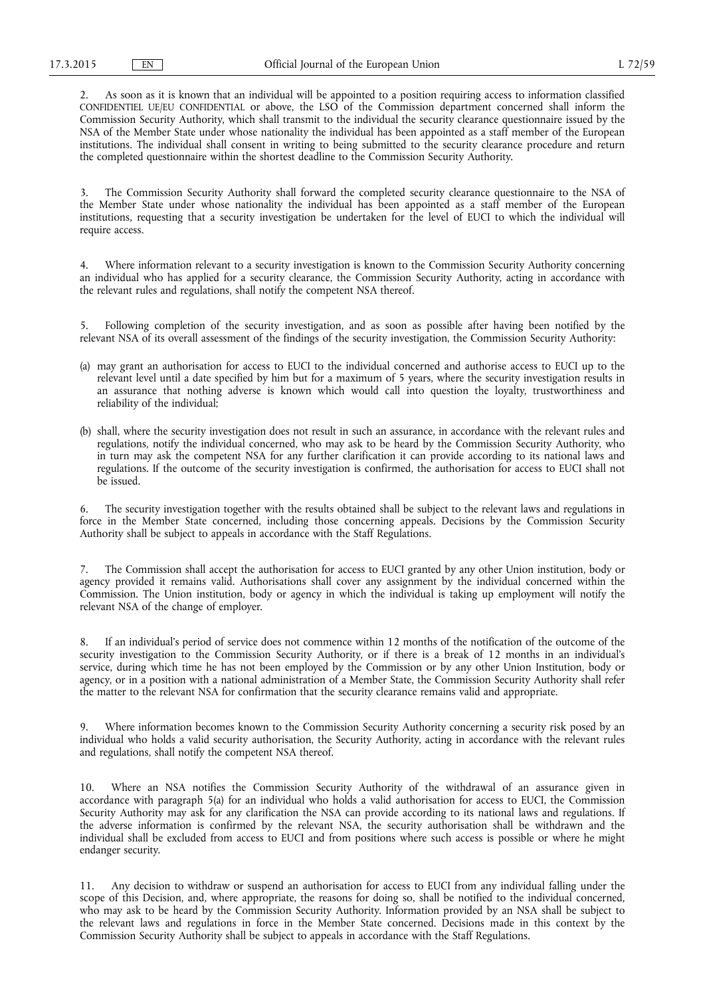2. As soon as it is known that an individual will be appointed to a position requiring access to information classified CONFIDENTIEL UE/EU CONFIDENTIAL or above, the LSO of the Commission department concerned shall inform the Commission Security Authority, which shall transmit to the individual the security clearance questionnaire issued by the NSA of the Member State under whose nationality the individual has been appointed as a staff member of the European institutions. The individual shall consent in writing to being submitted to the security clearance procedure and return the completed questionnaire within the shortest deadline to the Commission Security Authority.

3. The Commission Security Authority shall forward the completed security clearance questionnaire to the NSA of the Member State under whose nationality the individual has been appointed as a staff member of the European institutions, requesting that a security investigation be undertaken for the level of EUCI to which the individual will require access.

4. Where information relevant to a security investigation is known to the Commission Security Authority concerning an individual who has applied for a security clearance, the Commission Security Authority, acting in accordance with the relevant rules and regulations, shall notify the competent NSA thereof.

5. Following completion of the security investigation, and as soon as possible after having been notified by the relevant NSA of its overall assessment of the findings of the security investigation, the Commission Security Authority:

- (a) may grant an authorisation for access to EUCI to the individual concerned and authorise access to EUCI up to the relevant level until a date specified by him but for a maximum of 5 years, where the security investigation results in an assurance that nothing adverse is known which would call into question the loyalty, trustworthiness and reliability of the individual;
- (b) shall, where the security investigation does not result in such an assurance, in accordance with the relevant rules and regulations, notify the individual concerned, who may ask to be heard by the Commission Security Authority, who in turn may ask the competent NSA for any further clarification it can provide according to its national laws and regulations. If the outcome of the security investigation is confirmed, the authorisation for access to EUCI shall not be issued.

6. The security investigation together with the results obtained shall be subject to the relevant laws and regulations in force in the Member State concerned, including those concerning appeals. Decisions by the Commission Security Authority shall be subject to appeals in accordance with the Staff Regulations.

7. The Commission shall accept the authorisation for access to EUCI granted by any other Union institution, body or agency provided it remains valid. Authorisations shall cover any assignment by the individual concerned within the Commission. The Union institution, body or agency in which the individual is taking up employment will notify the relevant NSA of the change of employer.

8. If an individual's period of service does not commence within 12 months of the notification of the outcome of the security investigation to the Commission Security Authority, or if there is a break of 12 months in an individual's service, during which time he has not been employed by the Commission or by any other Union Institution, body or agency, or in a position with a national administration of a Member State, the Commission Security Authority shall refer the matter to the relevant NSA for confirmation that the security clearance remains valid and appropriate.

9. Where information becomes known to the Commission Security Authority concerning a security risk posed by an individual who holds a valid security authorisation, the Security Authority, acting in accordance with the relevant rules and regulations, shall notify the competent NSA thereof.

10. Where an NSA notifies the Commission Security Authority of the withdrawal of an assurance given in accordance with paragraph 5(a) for an individual who holds a valid authorisation for access to EUCI, the Commission Security Authority may ask for any clarification the NSA can provide according to its national laws and regulations. If the adverse information is confirmed by the relevant NSA, the security authorisation shall be withdrawn and the individual shall be excluded from access to EUCI and from positions where such access is possible or where he might endanger security.

11. Any decision to withdraw or suspend an authorisation for access to EUCI from any individual falling under the scope of this Decision, and, where appropriate, the reasons for doing so, shall be notified to the individual concerned, who may ask to be heard by the Commission Security Authority. Information provided by an NSA shall be subject to the relevant laws and regulations in force in the Member State concerned. Decisions made in this context by the Commission Security Authority shall be subject to appeals in accordance with the Staff Regulations.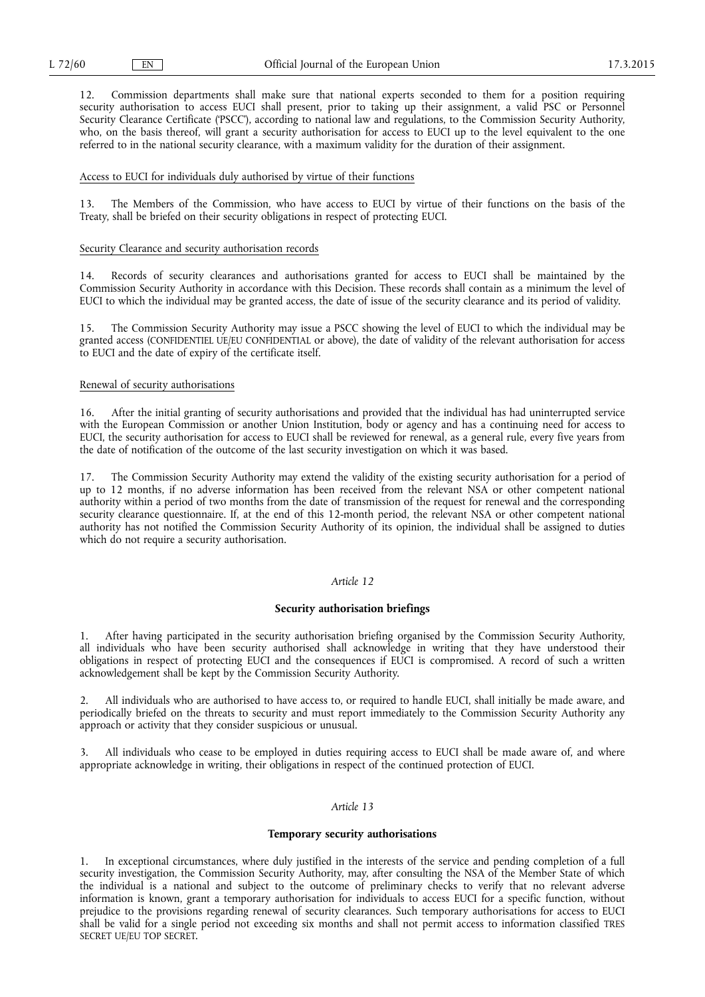12. Commission departments shall make sure that national experts seconded to them for a position requiring security authorisation to access EUCI shall present, prior to taking up their assignment, a valid PSC or Personnel Security Clearance Certificate ('PSCC'), according to national law and regulations, to the Commission Security Authority, who, on the basis thereof, will grant a security authorisation for access to EUCI up to the level equivalent to the one referred to in the national security clearance, with a maximum validity for the duration of their assignment.

#### Access to EUCI for individuals duly authorised by virtue of their functions

13. The Members of the Commission, who have access to EUCI by virtue of their functions on the basis of the Treaty, shall be briefed on their security obligations in respect of protecting EUCI.

#### Security Clearance and security authorisation records

14. Records of security clearances and authorisations granted for access to EUCI shall be maintained by the Commission Security Authority in accordance with this Decision. These records shall contain as a minimum the level of EUCI to which the individual may be granted access, the date of issue of the security clearance and its period of validity.

15. The Commission Security Authority may issue a PSCC showing the level of EUCI to which the individual may be granted access (CONFIDENTIEL UE/EU CONFIDENTIAL or above), the date of validity of the relevant authorisation for access to EUCI and the date of expiry of the certificate itself.

#### Renewal of security authorisations

16. After the initial granting of security authorisations and provided that the individual has had uninterrupted service with the European Commission or another Union Institution, body or agency and has a continuing need for access to EUCI, the security authorisation for access to EUCI shall be reviewed for renewal, as a general rule, every five years from the date of notification of the outcome of the last security investigation on which it was based.

17. The Commission Security Authority may extend the validity of the existing security authorisation for a period of up to 12 months, if no adverse information has been received from the relevant NSA or other competent national authority within a period of two months from the date of transmission of the request for renewal and the corresponding security clearance questionnaire. If, at the end of this 12-month period, the relevant NSA or other competent national authority has not notified the Commission Security Authority of its opinion, the individual shall be assigned to duties which do not require a security authorisation.

#### *Article 12*

#### **Security authorisation briefings**

1. After having participated in the security authorisation briefing organised by the Commission Security Authority, all individuals who have been security authorised shall acknowledge in writing that they have understood their obligations in respect of protecting EUCI and the consequences if EUCI is compromised. A record of such a written acknowledgement shall be kept by the Commission Security Authority.

2. All individuals who are authorised to have access to, or required to handle EUCI, shall initially be made aware, and periodically briefed on the threats to security and must report immediately to the Commission Security Authority any approach or activity that they consider suspicious or unusual.

3. All individuals who cease to be employed in duties requiring access to EUCI shall be made aware of, and where appropriate acknowledge in writing, their obligations in respect of the continued protection of EUCI.

#### *Article 13*

### **Temporary security authorisations**

In exceptional circumstances, where duly justified in the interests of the service and pending completion of a full security investigation, the Commission Security Authority, may, after consulting the NSA of the Member State of which the individual is a national and subject to the outcome of preliminary checks to verify that no relevant adverse information is known, grant a temporary authorisation for individuals to access EUCI for a specific function, without prejudice to the provisions regarding renewal of security clearances. Such temporary authorisations for access to EUCI shall be valid for a single period not exceeding six months and shall not permit access to information classified TRES SECRET UE/EU TOP SECRET.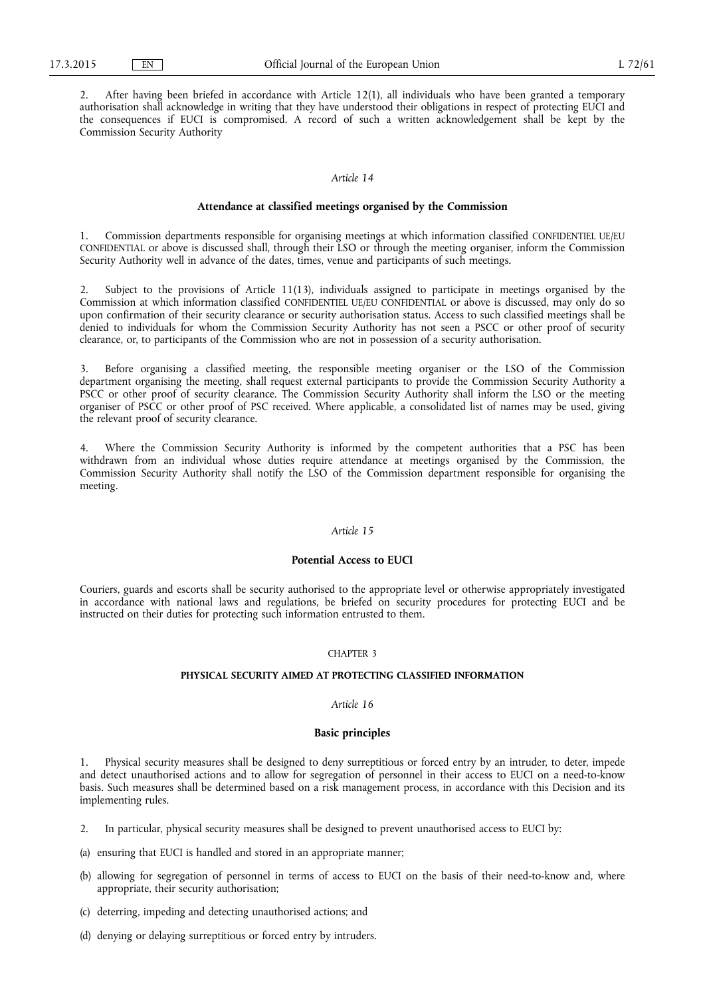2. After having been briefed in accordance with Article 12(1), all individuals who have been granted a temporary authorisation shall acknowledge in writing that they have understood their obligations in respect of protecting EUCI and the consequences if EUCI is compromised. A record of such a written acknowledgement shall be kept by the Commission Security Authority

### *Article 14*

#### **Attendance at classified meetings organised by the Commission**

1. Commission departments responsible for organising meetings at which information classified CONFIDENTIEL UE/EU CONFIDENTIAL or above is discussed shall, through their LSO or through the meeting organiser, inform the Commission Security Authority well in advance of the dates, times, venue and participants of such meetings.

Subject to the provisions of Article 11(13), individuals assigned to participate in meetings organised by the Commission at which information classified CONFIDENTIEL UE/EU CONFIDENTIAL or above is discussed, may only do so upon confirmation of their security clearance or security authorisation status. Access to such classified meetings shall be denied to individuals for whom the Commission Security Authority has not seen a PSCC or other proof of security clearance, or, to participants of the Commission who are not in possession of a security authorisation.

3. Before organising a classified meeting, the responsible meeting organiser or the LSO of the Commission department organising the meeting, shall request external participants to provide the Commission Security Authority a PSCC or other proof of security clearance. The Commission Security Authority shall inform the LSO or the meeting organiser of PSCC or other proof of PSC received. Where applicable, a consolidated list of names may be used, giving the relevant proof of security clearance.

Where the Commission Security Authority is informed by the competent authorities that a PSC has been withdrawn from an individual whose duties require attendance at meetings organised by the Commission, the Commission Security Authority shall notify the LSO of the Commission department responsible for organising the meeting.

#### *Article 15*

#### **Potential Access to EUCI**

Couriers, guards and escorts shall be security authorised to the appropriate level or otherwise appropriately investigated in accordance with national laws and regulations, be briefed on security procedures for protecting EUCI and be instructed on their duties for protecting such information entrusted to them.

#### CHAPTER 3

#### **PHYSICAL SECURITY AIMED AT PROTECTING CLASSIFIED INFORMATION**

#### *Article 16*

#### **Basic principles**

1. Physical security measures shall be designed to deny surreptitious or forced entry by an intruder, to deter, impede and detect unauthorised actions and to allow for segregation of personnel in their access to EUCI on a need-to-know basis. Such measures shall be determined based on a risk management process, in accordance with this Decision and its implementing rules.

- 2. In particular, physical security measures shall be designed to prevent unauthorised access to EUCI by:
- (a) ensuring that EUCI is handled and stored in an appropriate manner;
- (b) allowing for segregation of personnel in terms of access to EUCI on the basis of their need-to-know and, where appropriate, their security authorisation;
- (c) deterring, impeding and detecting unauthorised actions; and
- (d) denying or delaying surreptitious or forced entry by intruders.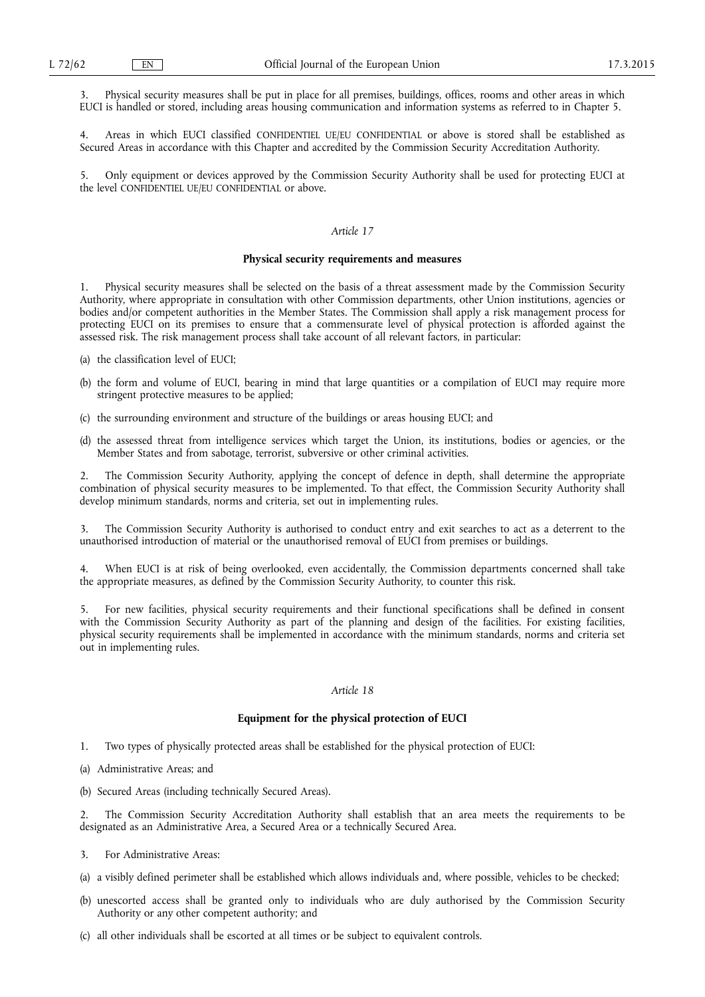3. Physical security measures shall be put in place for all premises, buildings, offices, rooms and other areas in which EUCI is handled or stored, including areas housing communication and information systems as referred to in Chapter 5.

4. Areas in which EUCI classified CONFIDENTIEL UE/EU CONFIDENTIAL or above is stored shall be established as Secured Areas in accordance with this Chapter and accredited by the Commission Security Accreditation Authority.

5. Only equipment or devices approved by the Commission Security Authority shall be used for protecting EUCI at the level CONFIDENTIEL UE/EU CONFIDENTIAL or above.

#### *Article 17*

#### **Physical security requirements and measures**

1. Physical security measures shall be selected on the basis of a threat assessment made by the Commission Security Authority, where appropriate in consultation with other Commission departments, other Union institutions, agencies or bodies and/or competent authorities in the Member States. The Commission shall apply a risk management process for protecting EUCI on its premises to ensure that a commensurate level of physical protection is afforded against the assessed risk. The risk management process shall take account of all relevant factors, in particular:

- (a) the classification level of EUCI;
- (b) the form and volume of EUCI, bearing in mind that large quantities or a compilation of EUCI may require more stringent protective measures to be applied;
- (c) the surrounding environment and structure of the buildings or areas housing EUCI; and
- (d) the assessed threat from intelligence services which target the Union, its institutions, bodies or agencies, or the Member States and from sabotage, terrorist, subversive or other criminal activities.

The Commission Security Authority, applying the concept of defence in depth, shall determine the appropriate combination of physical security measures to be implemented. To that effect, the Commission Security Authority shall develop minimum standards, norms and criteria, set out in implementing rules.

3. The Commission Security Authority is authorised to conduct entry and exit searches to act as a deterrent to the unauthorised introduction of material or the unauthorised removal of EUCI from premises or buildings.

4. When EUCI is at risk of being overlooked, even accidentally, the Commission departments concerned shall take the appropriate measures, as defined by the Commission Security Authority, to counter this risk.

5. For new facilities, physical security requirements and their functional specifications shall be defined in consent with the Commission Security Authority as part of the planning and design of the facilities. For existing facilities, physical security requirements shall be implemented in accordance with the minimum standards, norms and criteria set out in implementing rules.

#### *Article 18*

### **Equipment for the physical protection of EUCI**

- 1. Two types of physically protected areas shall be established for the physical protection of EUCI:
- (a) Administrative Areas; and
- (b) Secured Areas (including technically Secured Areas).

2. The Commission Security Accreditation Authority shall establish that an area meets the requirements to be designated as an Administrative Area, a Secured Area or a technically Secured Area.

- 3. For Administrative Areas:
- (a) a visibly defined perimeter shall be established which allows individuals and, where possible, vehicles to be checked;
- (b) unescorted access shall be granted only to individuals who are duly authorised by the Commission Security Authority or any other competent authority; and
- (c) all other individuals shall be escorted at all times or be subject to equivalent controls.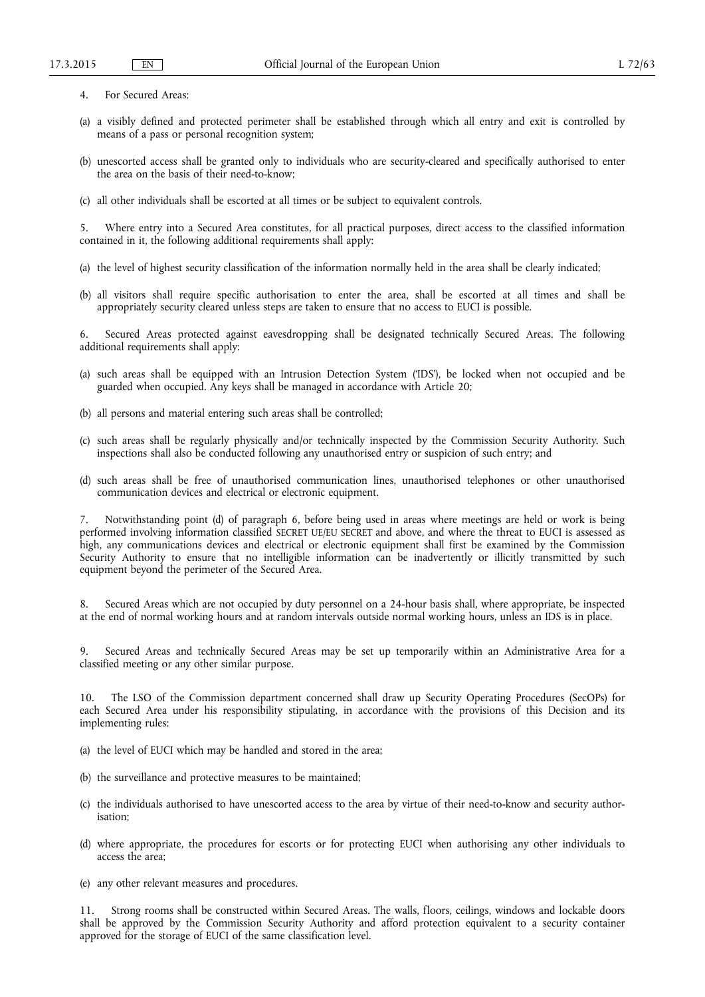- 4. For Secured Areas:
- (a) a visibly defined and protected perimeter shall be established through which all entry and exit is controlled by means of a pass or personal recognition system;
- (b) unescorted access shall be granted only to individuals who are security-cleared and specifically authorised to enter the area on the basis of their need-to-know;
- (c) all other individuals shall be escorted at all times or be subject to equivalent controls.

5. Where entry into a Secured Area constitutes, for all practical purposes, direct access to the classified information contained in it, the following additional requirements shall apply:

- (a) the level of highest security classification of the information normally held in the area shall be clearly indicated;
- (b) all visitors shall require specific authorisation to enter the area, shall be escorted at all times and shall be appropriately security cleared unless steps are taken to ensure that no access to EUCI is possible.

6. Secured Areas protected against eavesdropping shall be designated technically Secured Areas. The following additional requirements shall apply:

- (a) such areas shall be equipped with an Intrusion Detection System ('IDS'), be locked when not occupied and be guarded when occupied. Any keys shall be managed in accordance with Article 20;
- (b) all persons and material entering such areas shall be controlled;
- (c) such areas shall be regularly physically and/or technically inspected by the Commission Security Authority. Such inspections shall also be conducted following any unauthorised entry or suspicion of such entry; and
- (d) such areas shall be free of unauthorised communication lines, unauthorised telephones or other unauthorised communication devices and electrical or electronic equipment.

7. Notwithstanding point (d) of paragraph 6, before being used in areas where meetings are held or work is being performed involving information classified SECRET UE/EU SECRET and above, and where the threat to EUCI is assessed as high, any communications devices and electrical or electronic equipment shall first be examined by the Commission Security Authority to ensure that no intelligible information can be inadvertently or illicitly transmitted by such equipment beyond the perimeter of the Secured Area.

8. Secured Areas which are not occupied by duty personnel on a 24-hour basis shall, where appropriate, be inspected at the end of normal working hours and at random intervals outside normal working hours, unless an IDS is in place.

9. Secured Areas and technically Secured Areas may be set up temporarily within an Administrative Area for a classified meeting or any other similar purpose.

10. The LSO of the Commission department concerned shall draw up Security Operating Procedures (SecOPs) for each Secured Area under his responsibility stipulating, in accordance with the provisions of this Decision and its implementing rules:

- (a) the level of EUCI which may be handled and stored in the area;
- (b) the surveillance and protective measures to be maintained;
- (c) the individuals authorised to have unescorted access to the area by virtue of their need-to-know and security authorisation;
- (d) where appropriate, the procedures for escorts or for protecting EUCI when authorising any other individuals to access the area;
- (e) any other relevant measures and procedures.

11. Strong rooms shall be constructed within Secured Areas. The walls, floors, ceilings, windows and lockable doors shall be approved by the Commission Security Authority and afford protection equivalent to a security container approved for the storage of EUCI of the same classification level.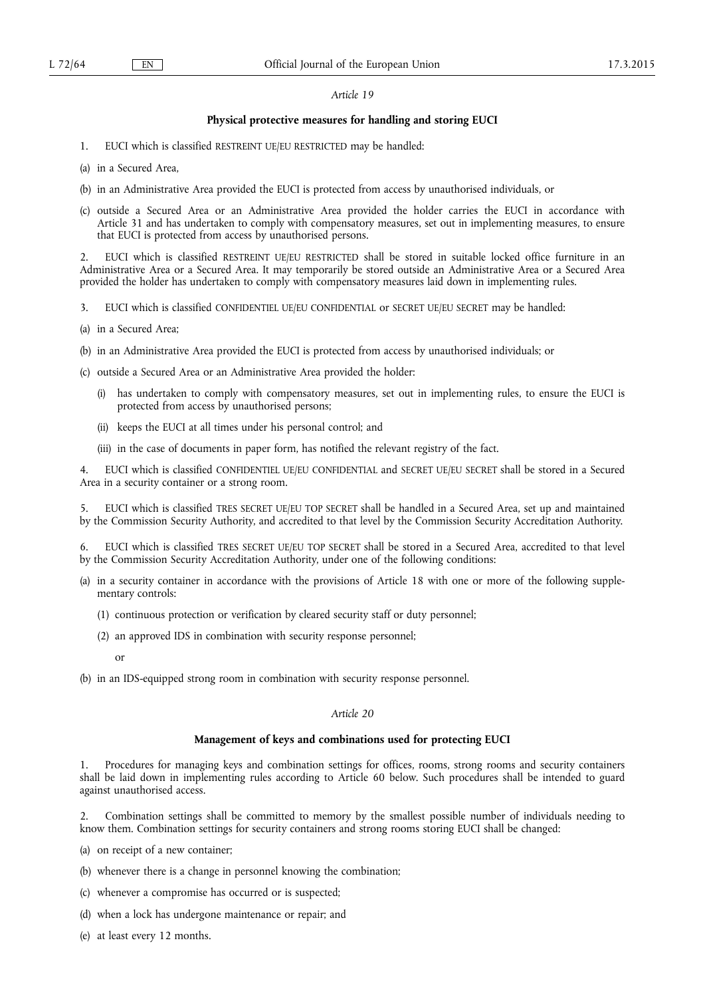### **Physical protective measures for handling and storing EUCI**

1. EUCI which is classified RESTREINT UE/EU RESTRICTED may be handled:

(a) in a Secured Area,

- (b) in an Administrative Area provided the EUCI is protected from access by unauthorised individuals, or
- (c) outside a Secured Area or an Administrative Area provided the holder carries the EUCI in accordance with Article 31 and has undertaken to comply with compensatory measures, set out in implementing measures, to ensure that EUCI is protected from access by unauthorised persons.

2. EUCI which is classified RESTREINT UE/EU RESTRICTED shall be stored in suitable locked office furniture in an Administrative Area or a Secured Area. It may temporarily be stored outside an Administrative Area or a Secured Area provided the holder has undertaken to comply with compensatory measures laid down in implementing rules.

- 3. EUCI which is classified CONFIDENTIEL UE/EU CONFIDENTIAL or SECRET UE/EU SECRET may be handled:
- (a) in a Secured Area;
- (b) in an Administrative Area provided the EUCI is protected from access by unauthorised individuals; or
- (c) outside a Secured Area or an Administrative Area provided the holder:
	- has undertaken to comply with compensatory measures, set out in implementing rules, to ensure the EUCI is protected from access by unauthorised persons;
	- (ii) keeps the EUCI at all times under his personal control; and
	- (iii) in the case of documents in paper form, has notified the relevant registry of the fact.

4. EUCI which is classified CONFIDENTIEL UE/EU CONFIDENTIAL and SECRET UE/EU SECRET shall be stored in a Secured Area in a security container or a strong room.

5. EUCI which is classified TRES SECRET UE/EU TOP SECRET shall be handled in a Secured Area, set up and maintained by the Commission Security Authority, and accredited to that level by the Commission Security Accreditation Authority.

6. EUCI which is classified TRES SECRET UE/EU TOP SECRET shall be stored in a Secured Area, accredited to that level by the Commission Security Accreditation Authority, under one of the following conditions:

- (a) in a security container in accordance with the provisions of Article 18 with one or more of the following supplementary controls:
	- (1) continuous protection or verification by cleared security staff or duty personnel;
	- (2) an approved IDS in combination with security response personnel;

or

(b) in an IDS-equipped strong room in combination with security response personnel.

#### *Article 20*

#### **Management of keys and combinations used for protecting EUCI**

1. Procedures for managing keys and combination settings for offices, rooms, strong rooms and security containers shall be laid down in implementing rules according to Article 60 below. Such procedures shall be intended to guard against unauthorised access.

2. Combination settings shall be committed to memory by the smallest possible number of individuals needing to know them. Combination settings for security containers and strong rooms storing EUCI shall be changed:

- (a) on receipt of a new container;
- (b) whenever there is a change in personnel knowing the combination;
- (c) whenever a compromise has occurred or is suspected;
- (d) when a lock has undergone maintenance or repair; and
- (e) at least every 12 months.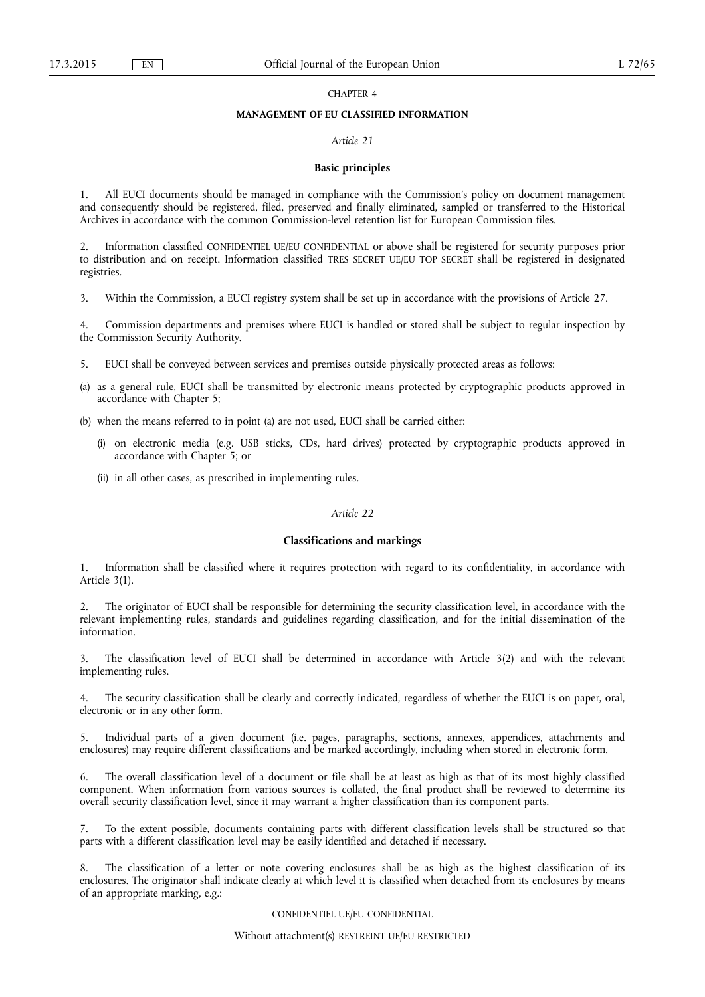#### CHAPTER 4

### **MANAGEMENT OF EU CLASSIFIED INFORMATION**

#### *Article 21*

#### **Basic principles**

1. All EUCI documents should be managed in compliance with the Commission's policy on document management and consequently should be registered, filed, preserved and finally eliminated, sampled or transferred to the Historical Archives in accordance with the common Commission-level retention list for European Commission files.

2. Information classified CONFIDENTIEL UE/EU CONFIDENTIAL or above shall be registered for security purposes prior to distribution and on receipt. Information classified TRES SECRET UE/EU TOP SECRET shall be registered in designated registries.

3. Within the Commission, a EUCI registry system shall be set up in accordance with the provisions of Article 27.

4. Commission departments and premises where EUCI is handled or stored shall be subject to regular inspection by the Commission Security Authority.

- 5. EUCI shall be conveyed between services and premises outside physically protected areas as follows:
- (a) as a general rule, EUCI shall be transmitted by electronic means protected by cryptographic products approved in accordance with Chapter 5;
- (b) when the means referred to in point (a) are not used, EUCI shall be carried either:
	- (i) on electronic media (e.g. USB sticks, CDs, hard drives) protected by cryptographic products approved in accordance with Chapter 5; or
	- (ii) in all other cases, as prescribed in implementing rules.

### *Article 22*

#### **Classifications and markings**

1. Information shall be classified where it requires protection with regard to its confidentiality, in accordance with Article 3(1).

2. The originator of EUCI shall be responsible for determining the security classification level, in accordance with the relevant implementing rules, standards and guidelines regarding classification, and for the initial dissemination of the information.

3. The classification level of EUCI shall be determined in accordance with Article 3(2) and with the relevant implementing rules.

4. The security classification shall be clearly and correctly indicated, regardless of whether the EUCI is on paper, oral, electronic or in any other form.

5. Individual parts of a given document (i.e. pages, paragraphs, sections, annexes, appendices, attachments and enclosures) may require different classifications and be marked accordingly, including when stored in electronic form.

6. The overall classification level of a document or file shall be at least as high as that of its most highly classified component. When information from various sources is collated, the final product shall be reviewed to determine its overall security classification level, since it may warrant a higher classification than its component parts.

7. To the extent possible, documents containing parts with different classification levels shall be structured so that parts with a different classification level may be easily identified and detached if necessary.

The classification of a letter or note covering enclosures shall be as high as the highest classification of its enclosures. The originator shall indicate clearly at which level it is classified when detached from its enclosures by means of an appropriate marking, e.g.:

CONFIDENTIEL UE/EU CONFIDENTIAL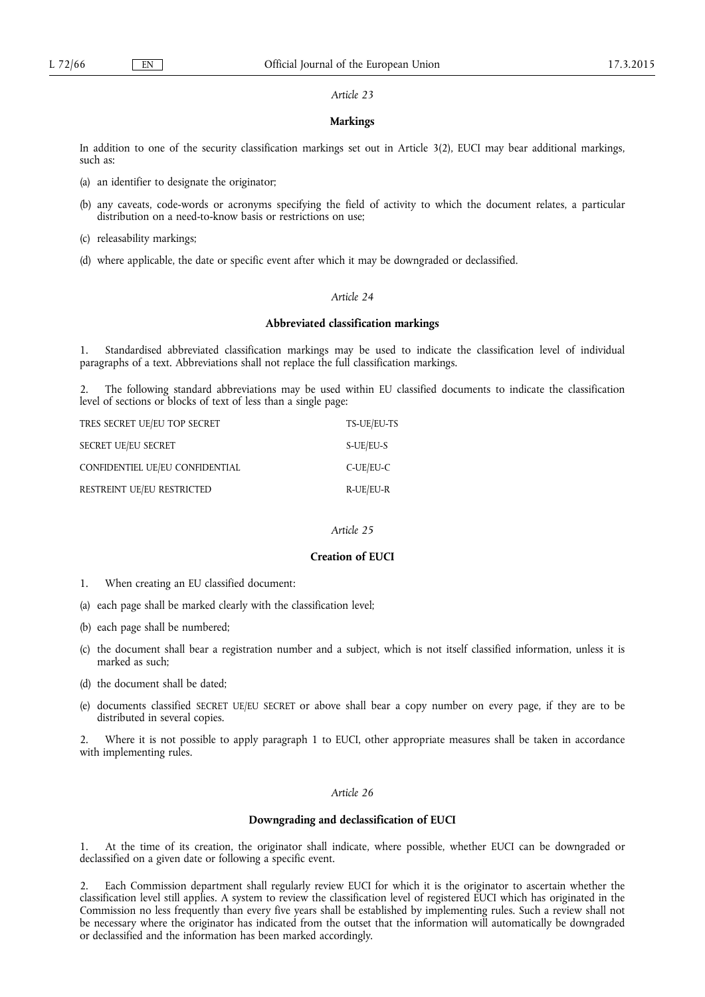### **Markings**

In addition to one of the security classification markings set out in Article 3(2), EUCI may bear additional markings, such as:

- (a) an identifier to designate the originator;
- (b) any caveats, code-words or acronyms specifying the field of activity to which the document relates, a particular distribution on a need-to-know basis or restrictions on use:
- (c) releasability markings;
- (d) where applicable, the date or specific event after which it may be downgraded or declassified.

### *Article 24*

#### **Abbreviated classification markings**

1. Standardised abbreviated classification markings may be used to indicate the classification level of individual paragraphs of a text. Abbreviations shall not replace the full classification markings.

2. The following standard abbreviations may be used within EU classified documents to indicate the classification level of sections or blocks of text of less than a single page:

| TRES SECRET UE/EU TOP SECRET    | TS-UE/EU-TS  |
|---------------------------------|--------------|
| SECRET UE/EU SECRET             | S-UE/EU-S    |
| CONFIDENTIEL UE/EU CONFIDENTIAL | $C$ -UE/EU-C |
| RESTREINT UE/EU RESTRICTED      | R-UE/EU-R    |

### *Article 25*

### **Creation of EUCI**

- 1. When creating an EU classified document:
- (a) each page shall be marked clearly with the classification level;
- (b) each page shall be numbered;
- (c) the document shall bear a registration number and a subject, which is not itself classified information, unless it is marked as such;
- (d) the document shall be dated;
- (e) documents classified SECRET UE/EU SECRET or above shall bear a copy number on every page, if they are to be distributed in several copies.

2. Where it is not possible to apply paragraph 1 to EUCI, other appropriate measures shall be taken in accordance with implementing rules.

#### *Article 26*

### **Downgrading and declassification of EUCI**

1. At the time of its creation, the originator shall indicate, where possible, whether EUCI can be downgraded or declassified on a given date or following a specific event.

2. Each Commission department shall regularly review EUCI for which it is the originator to ascertain whether the classification level still applies. A system to review the classification level of registered EUCI which has originated in the Commission no less frequently than every five years shall be established by implementing rules. Such a review shall not be necessary where the originator has indicated from the outset that the information will automatically be downgraded or declassified and the information has been marked accordingly.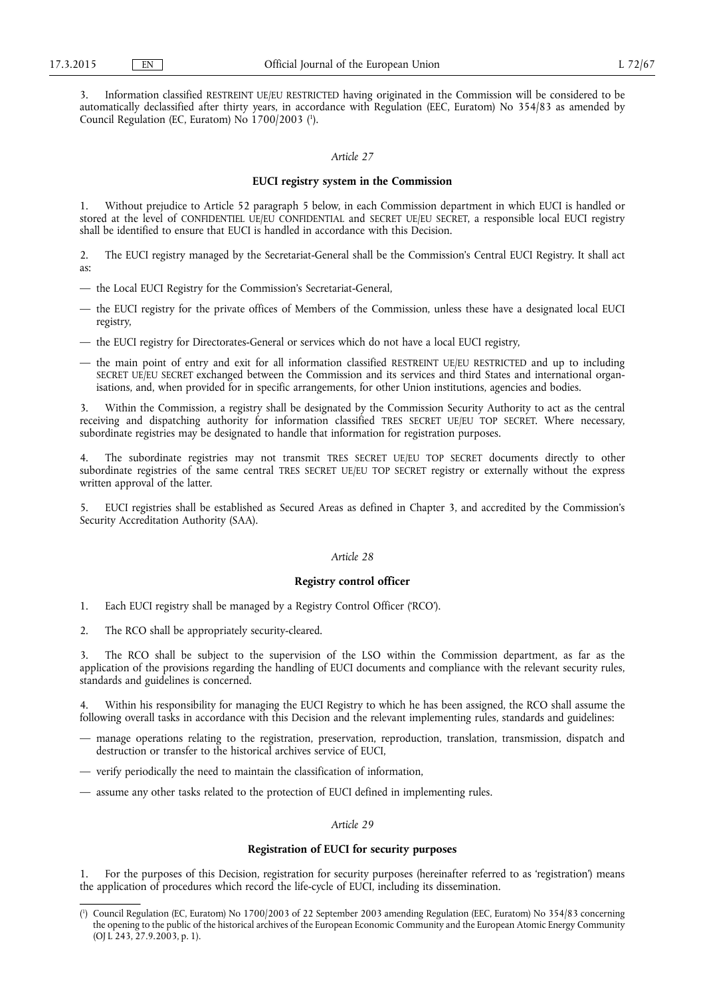3. Information classified RESTREINT UE/EU RESTRICTED having originated in the Commission will be considered to be automatically declassified after thirty years, in accordance with Regulation (EEC, Euratom) No 354/83 as amended by Council Regulation (EC, Euratom) No 1700/2003 ( 1 ).

#### *Article 27*

### **EUCI registry system in the Commission**

1. Without prejudice to Article 52 paragraph 5 below, in each Commission department in which EUCI is handled or stored at the level of CONFIDENTIEL UE/EU CONFIDENTIAL and SECRET UE/EU SECRET, a responsible local EUCI registry shall be identified to ensure that EUCI is handled in accordance with this Decision.

2. The EUCI registry managed by the Secretariat-General shall be the Commission's Central EUCI Registry. It shall act as:

- the Local EUCI Registry for the Commission's Secretariat-General,
- the EUCI registry for the private offices of Members of the Commission, unless these have a designated local EUCI registry,
- the EUCI registry for Directorates-General or services which do not have a local EUCI registry,
- the main point of entry and exit for all information classified RESTREINT UE/EU RESTRICTED and up to including SECRET UE/EU SECRET exchanged between the Commission and its services and third States and international organisations, and, when provided for in specific arrangements, for other Union institutions, agencies and bodies.

3. Within the Commission, a registry shall be designated by the Commission Security Authority to act as the central receiving and dispatching authority for information classified TRES SECRET UE/EU TOP SECRET. Where necessary, subordinate registries may be designated to handle that information for registration purposes.

4. The subordinate registries may not transmit TRES SECRET UE/EU TOP SECRET documents directly to other subordinate registries of the same central TRES SECRET UE/EU TOP SECRET registry or externally without the express written approval of the latter.

5. EUCI registries shall be established as Secured Areas as defined in Chapter 3, and accredited by the Commission's Security Accreditation Authority (SAA).

#### *Article 28*

#### **Registry control officer**

- 1. Each EUCI registry shall be managed by a Registry Control Officer ('RCO').
- 2. The RCO shall be appropriately security-cleared.

The RCO shall be subject to the supervision of the LSO within the Commission department, as far as the application of the provisions regarding the handling of EUCI documents and compliance with the relevant security rules, standards and guidelines is concerned.

Within his responsibility for managing the EUCI Registry to which he has been assigned, the RCO shall assume the following overall tasks in accordance with this Decision and the relevant implementing rules, standards and guidelines:

- manage operations relating to the registration, preservation, reproduction, translation, transmission, dispatch and destruction or transfer to the historical archives service of EUCI,
- verify periodically the need to maintain the classification of information,
- assume any other tasks related to the protection of EUCI defined in implementing rules.

#### *Article 29*

### **Registration of EUCI for security purposes**

1. For the purposes of this Decision, registration for security purposes (hereinafter referred to as 'registration') means the application of procedures which record the life-cycle of EUCI, including its dissemination.

<sup>(</sup> 1 ) Council Regulation (EC, Euratom) No 1700/2003 of 22 September 2003 amending Regulation (EEC, Euratom) No 354/83 concerning the opening to the public of the historical archives of the European Economic Community and the European Atomic Energy Community (OJ L 243, 27.9.2003, p. 1).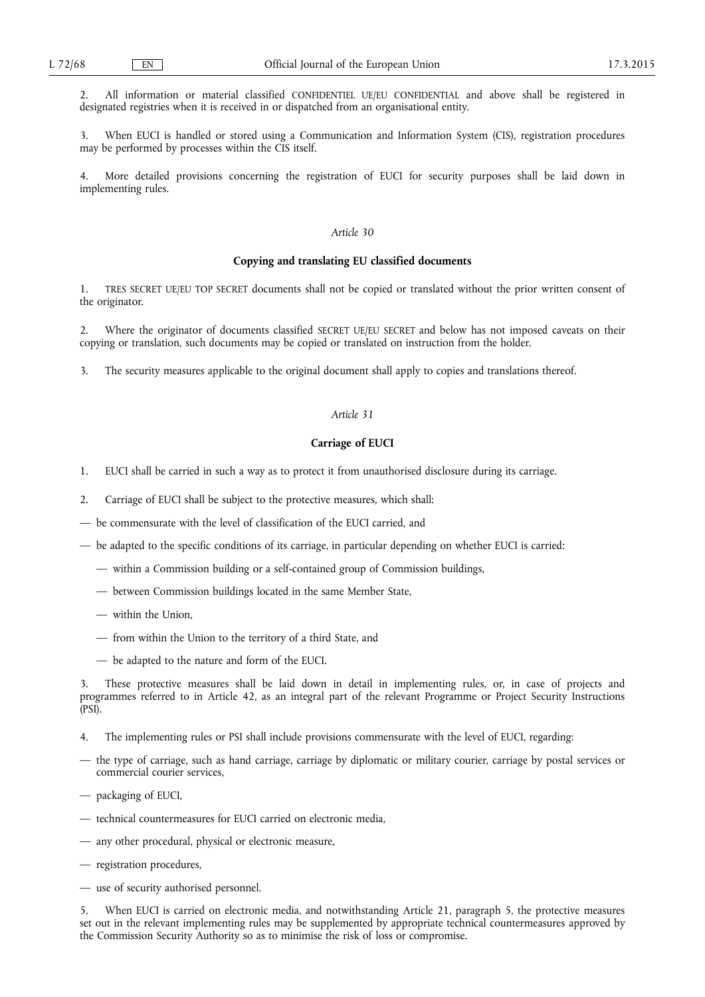2. All information or material classified CONFIDENTIEL UE/EU CONFIDENTIAL and above shall be registered in designated registries when it is received in or dispatched from an organisational entity.

3. When EUCI is handled or stored using a Communication and Information System (CIS), registration procedures may be performed by processes within the CIS itself.

More detailed provisions concerning the registration of EUCI for security purposes shall be laid down in implementing rules.

#### *Article 30*

#### **Copying and translating EU classified documents**

1. TRES SECRET UE/EU TOP SECRET documents shall not be copied or translated without the prior written consent of the originator.

2. Where the originator of documents classified SECRET UE/EU SECRET and below has not imposed caveats on their copying or translation, such documents may be copied or translated on instruction from the holder.

3. The security measures applicable to the original document shall apply to copies and translations thereof.

### *Article 31*

### **Carriage of EUCI**

- 1. EUCI shall be carried in such a way as to protect it from unauthorised disclosure during its carriage.
- 2. Carriage of EUCI shall be subject to the protective measures, which shall:
- be commensurate with the level of classification of the EUCI carried, and
- be adapted to the specific conditions of its carriage, in particular depending on whether EUCI is carried:
	- within a Commission building or a self-contained group of Commission buildings,
	- between Commission buildings located in the same Member State,
	- within the Union,
	- from within the Union to the territory of a third State, and
	- be adapted to the nature and form of the EUCI.

3. These protective measures shall be laid down in detail in implementing rules, or, in case of projects and programmes referred to in Article 42, as an integral part of the relevant Programme or Project Security Instructions (PSI).

- 4. The implementing rules or PSI shall include provisions commensurate with the level of EUCI, regarding:
- the type of carriage, such as hand carriage, carriage by diplomatic or military courier, carriage by postal services or commercial courier services,
- packaging of EUCI,
- technical countermeasures for EUCI carried on electronic media,
- any other procedural, physical or electronic measure,
- registration procedures,
- use of security authorised personnel.

5. When EUCI is carried on electronic media, and notwithstanding Article 21, paragraph 5, the protective measures set out in the relevant implementing rules may be supplemented by appropriate technical countermeasures approved by the Commission Security Authority so as to minimise the risk of loss or compromise.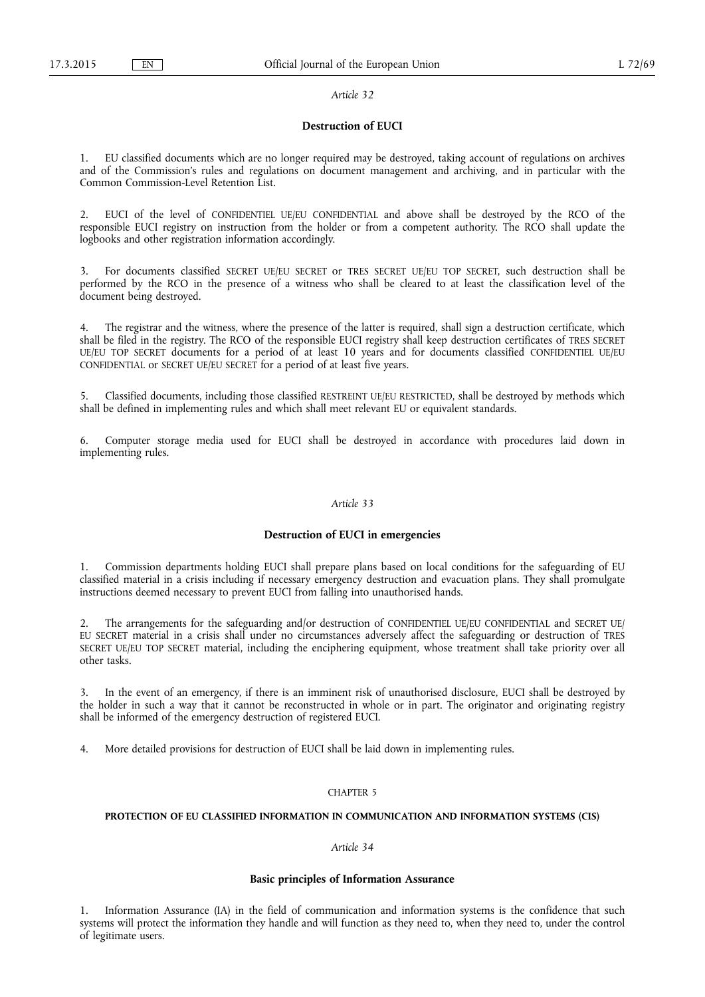#### **Destruction of EUCI**

1. EU classified documents which are no longer required may be destroyed, taking account of regulations on archives and of the Commission's rules and regulations on document management and archiving, and in particular with the Common Commission-Level Retention List.

2. EUCI of the level of CONFIDENTIEL UE/EU CONFIDENTIAL and above shall be destroyed by the RCO of the responsible EUCI registry on instruction from the holder or from a competent authority. The RCO shall update the logbooks and other registration information accordingly.

3. For documents classified SECRET UE/EU SECRET or TRES SECRET UE/EU TOP SECRET, such destruction shall be performed by the RCO in the presence of a witness who shall be cleared to at least the classification level of the document being destroyed.

4. The registrar and the witness, where the presence of the latter is required, shall sign a destruction certificate, which shall be filed in the registry. The RCO of the responsible EUCI registry shall keep destruction certificates of TRES SECRET UE/EU TOP SECRET documents for a period of at least 10 years and for documents classified CONFIDENTIEL UE/EU CONFIDENTIAL or SECRET UE/EU SECRET for a period of at least five years.

5. Classified documents, including those classified RESTREINT UE/EU RESTRICTED, shall be destroyed by methods which shall be defined in implementing rules and which shall meet relevant EU or equivalent standards.

6. Computer storage media used for EUCI shall be destroyed in accordance with procedures laid down in implementing rules.

#### *Article 33*

#### **Destruction of EUCI in emergencies**

1. Commission departments holding EUCI shall prepare plans based on local conditions for the safeguarding of EU classified material in a crisis including if necessary emergency destruction and evacuation plans. They shall promulgate instructions deemed necessary to prevent EUCI from falling into unauthorised hands.

2. The arrangements for the safeguarding and/or destruction of CONFIDENTIEL UE/EU CONFIDENTIAL and SECRET UE/ EU SECRET material in a crisis shall under no circumstances adversely affect the safeguarding or destruction of TRES SECRET UE/EU TOP SECRET material, including the enciphering equipment, whose treatment shall take priority over all other tasks.

3. In the event of an emergency, if there is an imminent risk of unauthorised disclosure, EUCI shall be destroyed by the holder in such a way that it cannot be reconstructed in whole or in part. The originator and originating registry shall be informed of the emergency destruction of registered EUCI.

4. More detailed provisions for destruction of EUCI shall be laid down in implementing rules.

#### CHAPTER 5

#### **PROTECTION OF EU CLASSIFIED INFORMATION IN COMMUNICATION AND INFORMATION SYSTEMS (CIS)**

### *Article 34*

#### **Basic principles of Information Assurance**

1. Information Assurance (IA) in the field of communication and information systems is the confidence that such systems will protect the information they handle and will function as they need to, when they need to, under the control of legitimate users.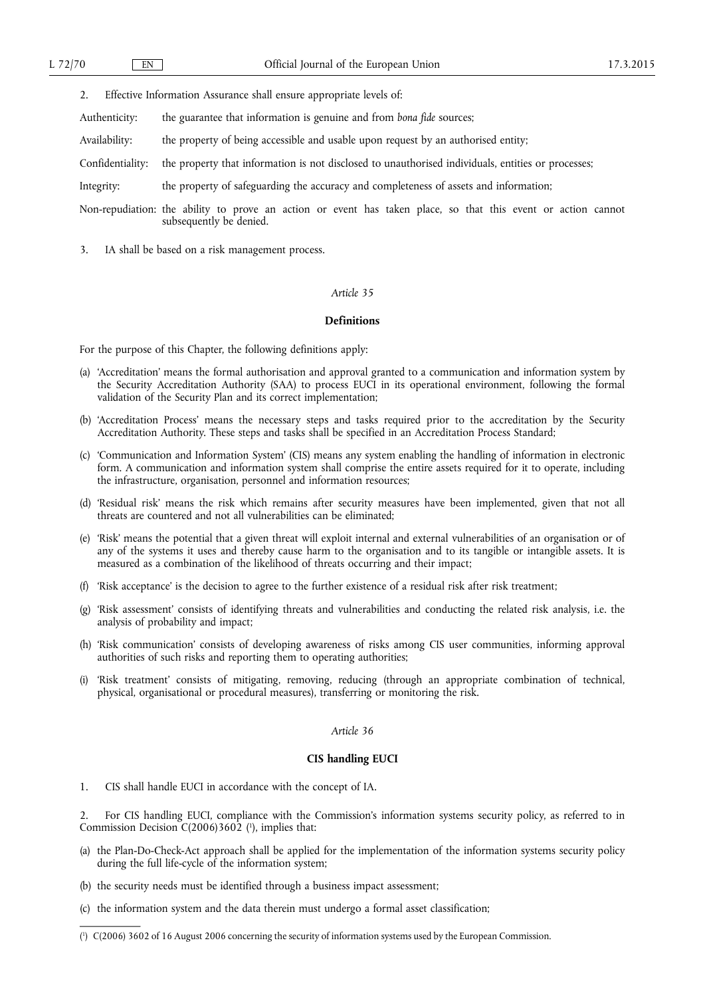2. Effective Information Assurance shall ensure appropriate levels of:

Authenticity: the guarantee that information is genuine and from *bona fide* sources;

Availability: the property of being accessible and usable upon request by an authorised entity;

Confidentiality: the property that information is not disclosed to unauthorised individuals, entities or processes;

Integrity: the property of safeguarding the accuracy and completeness of assets and information;

Non-repudiation: the ability to prove an action or event has taken place, so that this event or action cannot subsequently be denied.

3. IA shall be based on a risk management process.

### *Article 35*

#### **Definitions**

For the purpose of this Chapter, the following definitions apply:

- (a) 'Accreditation' means the formal authorisation and approval granted to a communication and information system by the Security Accreditation Authority (SAA) to process EUCI in its operational environment, following the formal validation of the Security Plan and its correct implementation;
- (b) 'Accreditation Process' means the necessary steps and tasks required prior to the accreditation by the Security Accreditation Authority. These steps and tasks shall be specified in an Accreditation Process Standard;
- (c) 'Communication and Information System' (CIS) means any system enabling the handling of information in electronic form. A communication and information system shall comprise the entire assets required for it to operate, including the infrastructure, organisation, personnel and information resources;
- (d) 'Residual risk' means the risk which remains after security measures have been implemented, given that not all threats are countered and not all vulnerabilities can be eliminated;
- (e) 'Risk' means the potential that a given threat will exploit internal and external vulnerabilities of an organisation or of any of the systems it uses and thereby cause harm to the organisation and to its tangible or intangible assets. It is measured as a combination of the likelihood of threats occurring and their impact;
- (f) 'Risk acceptance' is the decision to agree to the further existence of a residual risk after risk treatment;
- (g) 'Risk assessment' consists of identifying threats and vulnerabilities and conducting the related risk analysis, i.e. the analysis of probability and impact;
- (h) 'Risk communication' consists of developing awareness of risks among CIS user communities, informing approval authorities of such risks and reporting them to operating authorities;
- 'Risk treatment' consists of mitigating, removing, reducing (through an appropriate combination of technical, physical, organisational or procedural measures), transferring or monitoring the risk.

#### *Article 36*

#### **CIS handling EUCI**

1. CIS shall handle EUCI in accordance with the concept of IA.

2. For CIS handling EUCI, compliance with the Commission's information systems security policy, as referred to in Commission Decision C(2006)3602 ( 1 ), implies that:

- (a) the Plan-Do-Check-Act approach shall be applied for the implementation of the information systems security policy during the full life-cycle of the information system;
- (b) the security needs must be identified through a business impact assessment;
- (c) the information system and the data therein must undergo a formal asset classification;

<sup>(</sup> 1 ) C(2006) 3602 of 16 August 2006 concerning the security of information systems used by the European Commission.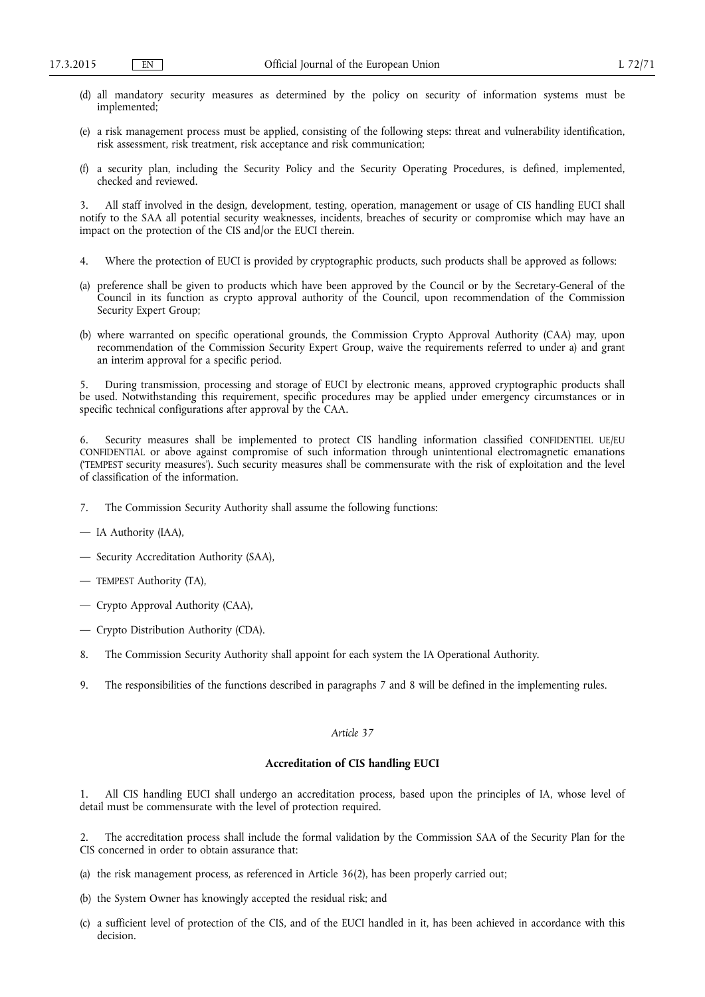- (d) all mandatory security measures as determined by the policy on security of information systems must be implemented;
- (e) a risk management process must be applied, consisting of the following steps: threat and vulnerability identification, risk assessment, risk treatment, risk acceptance and risk communication;
- (f) a security plan, including the Security Policy and the Security Operating Procedures, is defined, implemented, checked and reviewed.

3. All staff involved in the design, development, testing, operation, management or usage of CIS handling EUCI shall notify to the SAA all potential security weaknesses, incidents, breaches of security or compromise which may have an impact on the protection of the CIS and/or the EUCI therein.

- 4. Where the protection of EUCI is provided by cryptographic products, such products shall be approved as follows:
- (a) preference shall be given to products which have been approved by the Council or by the Secretary-General of the Council in its function as crypto approval authority of the Council, upon recommendation of the Commission Security Expert Group;
- (b) where warranted on specific operational grounds, the Commission Crypto Approval Authority (CAA) may, upon recommendation of the Commission Security Expert Group, waive the requirements referred to under a) and grant an interim approval for a specific period.

5. During transmission, processing and storage of EUCI by electronic means, approved cryptographic products shall be used. Notwithstanding this requirement, specific procedures may be applied under emergency circumstances or in specific technical configurations after approval by the CAA.

6. Security measures shall be implemented to protect CIS handling information classified CONFIDENTIEL UE/EU CONFIDENTIAL or above against compromise of such information through unintentional electromagnetic emanations ('TEMPEST security measures'). Such security measures shall be commensurate with the risk of exploitation and the level of classification of the information.

- 7. The Commission Security Authority shall assume the following functions:
- IA Authority (IAA),
- Security Accreditation Authority (SAA),
- TEMPEST Authority (TA),
- Crypto Approval Authority (CAA),
- Crypto Distribution Authority (CDA).
- 8. The Commission Security Authority shall appoint for each system the IA Operational Authority.
- 9. The responsibilities of the functions described in paragraphs 7 and 8 will be defined in the implementing rules.

### *Article 37*

### **Accreditation of CIS handling EUCI**

1. All CIS handling EUCI shall undergo an accreditation process, based upon the principles of IA, whose level of detail must be commensurate with the level of protection required.

2. The accreditation process shall include the formal validation by the Commission SAA of the Security Plan for the CIS concerned in order to obtain assurance that:

- (a) the risk management process, as referenced in Article 36(2), has been properly carried out;
- (b) the System Owner has knowingly accepted the residual risk; and
- (c) a sufficient level of protection of the CIS, and of the EUCI handled in it, has been achieved in accordance with this decision.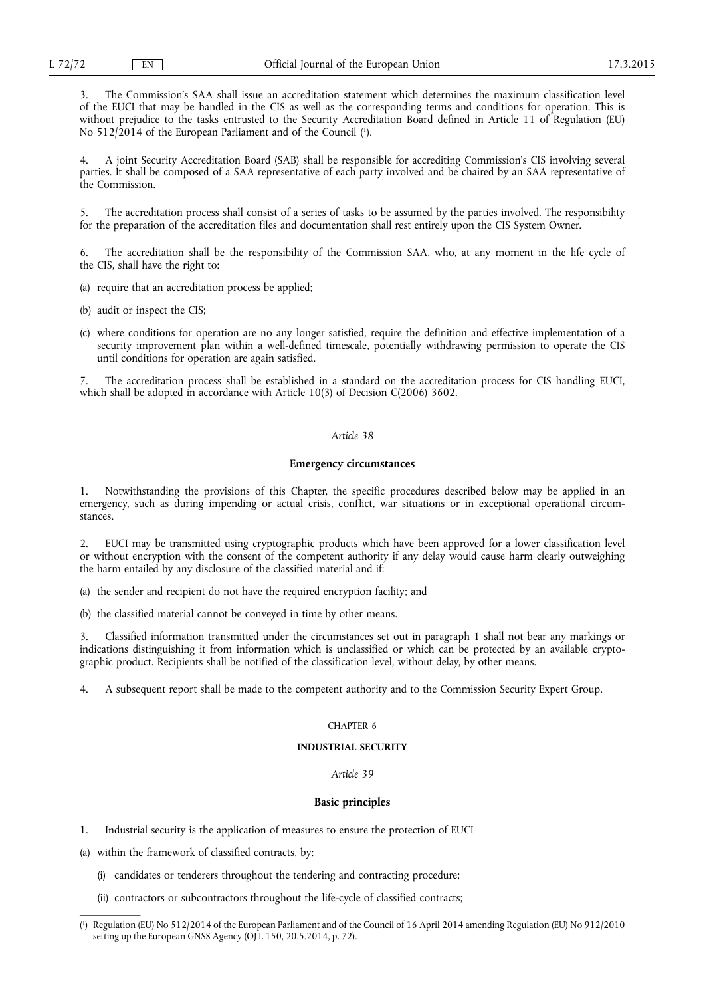3. The Commission's SAA shall issue an accreditation statement which determines the maximum classification level of the EUCI that may be handled in the CIS as well as the corresponding terms and conditions for operation. This is without prejudice to the tasks entrusted to the Security Accreditation Board defined in Article 11 of Regulation (EU) No 512/2014 of the European Parliament and of the Council ( 1 ).

4. A joint Security Accreditation Board (SAB) shall be responsible for accrediting Commission's CIS involving several parties. It shall be composed of a SAA representative of each party involved and be chaired by an SAA representative of the Commission.

5. The accreditation process shall consist of a series of tasks to be assumed by the parties involved. The responsibility for the preparation of the accreditation files and documentation shall rest entirely upon the CIS System Owner.

6. The accreditation shall be the responsibility of the Commission SAA, who, at any moment in the life cycle of the CIS, shall have the right to:

(a) require that an accreditation process be applied;

(b) audit or inspect the CIS;

(c) where conditions for operation are no any longer satisfied, require the definition and effective implementation of a security improvement plan within a well-defined timescale, potentially withdrawing permission to operate the CIS until conditions for operation are again satisfied.

7. The accreditation process shall be established in a standard on the accreditation process for CIS handling EUCI, which shall be adopted in accordance with Article 10(3) of Decision C(2006) 3602.

### *Article 38*

#### **Emergency circumstances**

1. Notwithstanding the provisions of this Chapter, the specific procedures described below may be applied in an emergency, such as during impending or actual crisis, conflict, war situations or in exceptional operational circumstances.

2. EUCI may be transmitted using cryptographic products which have been approved for a lower classification level or without encryption with the consent of the competent authority if any delay would cause harm clearly outweighing the harm entailed by any disclosure of the classified material and if:

(a) the sender and recipient do not have the required encryption facility; and

(b) the classified material cannot be conveyed in time by other means.

3. Classified information transmitted under the circumstances set out in paragraph 1 shall not bear any markings or indications distinguishing it from information which is unclassified or which can be protected by an available cryptographic product. Recipients shall be notified of the classification level, without delay, by other means.

4. A subsequent report shall be made to the competent authority and to the Commission Security Expert Group.

#### CHAPTER 6

### **INDUSTRIAL SECURITY**

*Article 39* 

#### **Basic principles**

1. Industrial security is the application of measures to ensure the protection of EUCI

(a) within the framework of classified contracts, by:

- (i) candidates or tenderers throughout the tendering and contracting procedure;
- (ii) contractors or subcontractors throughout the life-cycle of classified contracts;

<sup>(</sup> 1 ) Regulation (EU) No 512/2014 of the European Parliament and of the Council of 16 April 2014 amending Regulation (EU) No 912/2010 setting up the European GNSS Agency (OJ L 150, 20.5.2014, p. 72).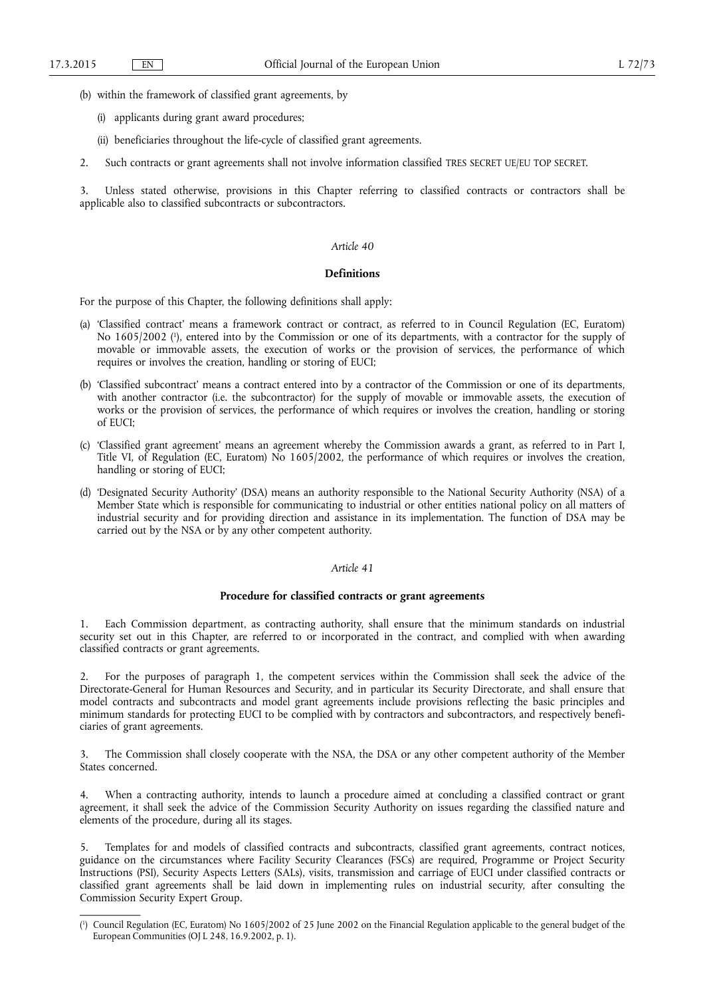- (b) within the framework of classified grant agreements, by
	- (i) applicants during grant award procedures;
	- (ii) beneficiaries throughout the life-cycle of classified grant agreements.
- 2. Such contracts or grant agreements shall not involve information classified TRES SECRET UE/EU TOP SECRET.

3. Unless stated otherwise, provisions in this Chapter referring to classified contracts or contractors shall be applicable also to classified subcontracts or subcontractors.

#### *Article 40*

#### **Definitions**

For the purpose of this Chapter, the following definitions shall apply:

- (a) 'Classified contract' means a framework contract or contract, as referred to in Council Regulation (EC, Euratom) No 1605/2002 ( 1 ), entered into by the Commission or one of its departments, with a contractor for the supply of movable or immovable assets, the execution of works or the provision of services, the performance of which requires or involves the creation, handling or storing of EUCI;
- (b) 'Classified subcontract' means a contract entered into by a contractor of the Commission or one of its departments, with another contractor (i.e. the subcontractor) for the supply of movable or immovable assets, the execution of works or the provision of services, the performance of which requires or involves the creation, handling or storing of EUCI;
- (c) 'Classified grant agreement' means an agreement whereby the Commission awards a grant, as referred to in Part I, Title VI, of Regulation (EC, Euratom) No 1605/2002, the performance of which requires or involves the creation, handling or storing of EUCI;
- (d) 'Designated Security Authority' (DSA) means an authority responsible to the National Security Authority (NSA) of a Member State which is responsible for communicating to industrial or other entities national policy on all matters of industrial security and for providing direction and assistance in its implementation. The function of DSA may be carried out by the NSA or by any other competent authority.

#### *Article 41*

#### **Procedure for classified contracts or grant agreements**

1. Each Commission department, as contracting authority, shall ensure that the minimum standards on industrial security set out in this Chapter, are referred to or incorporated in the contract, and complied with when awarding classified contracts or grant agreements.

2. For the purposes of paragraph 1, the competent services within the Commission shall seek the advice of the Directorate-General for Human Resources and Security, and in particular its Security Directorate, and shall ensure that model contracts and subcontracts and model grant agreements include provisions reflecting the basic principles and minimum standards for protecting EUCI to be complied with by contractors and subcontractors, and respectively beneficiaries of grant agreements.

3. The Commission shall closely cooperate with the NSA, the DSA or any other competent authority of the Member States concerned.

4. When a contracting authority, intends to launch a procedure aimed at concluding a classified contract or grant agreement, it shall seek the advice of the Commission Security Authority on issues regarding the classified nature and elements of the procedure, during all its stages.

5. Templates for and models of classified contracts and subcontracts, classified grant agreements, contract notices, guidance on the circumstances where Facility Security Clearances (FSCs) are required, Programme or Project Security Instructions (PSI), Security Aspects Letters (SALs), visits, transmission and carriage of EUCI under classified contracts or classified grant agreements shall be laid down in implementing rules on industrial security, after consulting the Commission Security Expert Group.

<sup>(</sup> 1 ) Council Regulation (EC, Euratom) No 1605/2002 of 25 June 2002 on the Financial Regulation applicable to the general budget of the European Communities (OJ L 248, 16.9.2002, p. 1).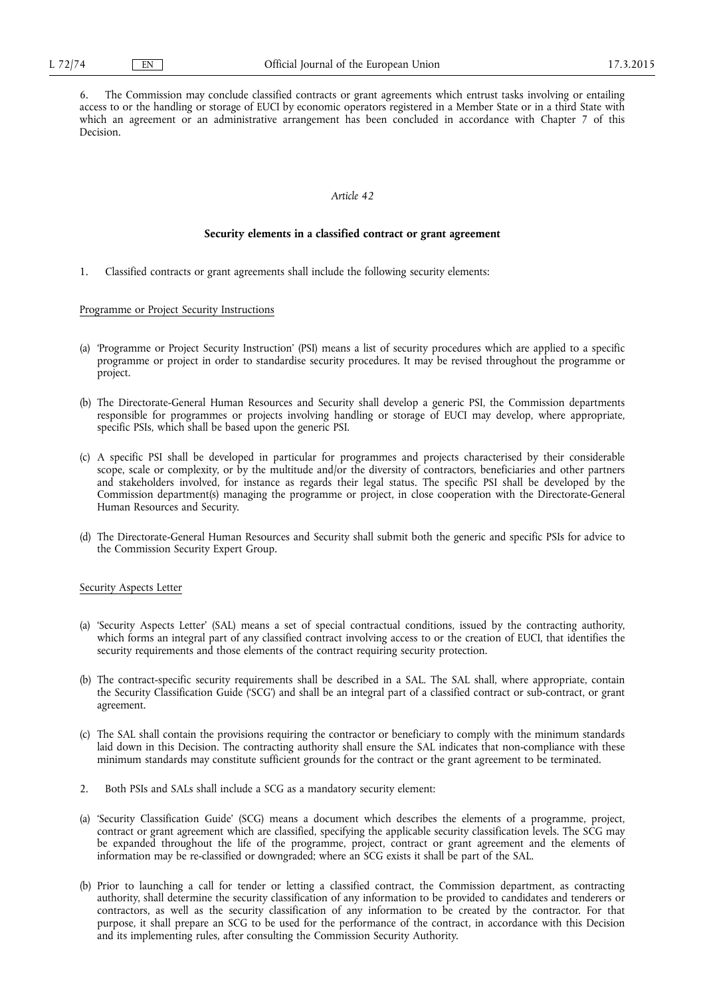6. The Commission may conclude classified contracts or grant agreements which entrust tasks involving or entailing access to or the handling or storage of EUCI by economic operators registered in a Member State or in a third State with which an agreement or an administrative arrangement has been concluded in accordance with Chapter 7 of this Decision.

#### *Article 42*

#### **Security elements in a classified contract or grant agreement**

1. Classified contracts or grant agreements shall include the following security elements:

#### Programme or Project Security Instructions

- (a) 'Programme or Project Security Instruction' (PSI) means a list of security procedures which are applied to a specific programme or project in order to standardise security procedures. It may be revised throughout the programme or project.
- (b) The Directorate-General Human Resources and Security shall develop a generic PSI, the Commission departments responsible for programmes or projects involving handling or storage of EUCI may develop, where appropriate, specific PSIs, which shall be based upon the generic PSI.
- (c) A specific PSI shall be developed in particular for programmes and projects characterised by their considerable scope, scale or complexity, or by the multitude and/or the diversity of contractors, beneficiaries and other partners and stakeholders involved, for instance as regards their legal status. The specific PSI shall be developed by the Commission department(s) managing the programme or project, in close cooperation with the Directorate-General Human Resources and Security.
- (d) The Directorate-General Human Resources and Security shall submit both the generic and specific PSIs for advice to the Commission Security Expert Group.

#### Security Aspects Letter

- (a) 'Security Aspects Letter' (SAL) means a set of special contractual conditions, issued by the contracting authority, which forms an integral part of any classified contract involving access to or the creation of EUCI, that identifies the security requirements and those elements of the contract requiring security protection.
- (b) The contract-specific security requirements shall be described in a SAL. The SAL shall, where appropriate, contain the Security Classification Guide ('SCG') and shall be an integral part of a classified contract or sub-contract, or grant agreement.
- (c) The SAL shall contain the provisions requiring the contractor or beneficiary to comply with the minimum standards laid down in this Decision. The contracting authority shall ensure the SAL indicates that non-compliance with these minimum standards may constitute sufficient grounds for the contract or the grant agreement to be terminated.
- 2. Both PSIs and SALs shall include a SCG as a mandatory security element:
- (a) 'Security Classification Guide' (SCG) means a document which describes the elements of a programme, project, contract or grant agreement which are classified, specifying the applicable security classification levels. The SCG may be expanded throughout the life of the programme, project, contract or grant agreement and the elements of information may be re-classified or downgraded; where an SCG exists it shall be part of the SAL.
- (b) Prior to launching a call for tender or letting a classified contract, the Commission department, as contracting authority, shall determine the security classification of any information to be provided to candidates and tenderers or contractors, as well as the security classification of any information to be created by the contractor. For that purpose, it shall prepare an SCG to be used for the performance of the contract, in accordance with this Decision and its implementing rules, after consulting the Commission Security Authority.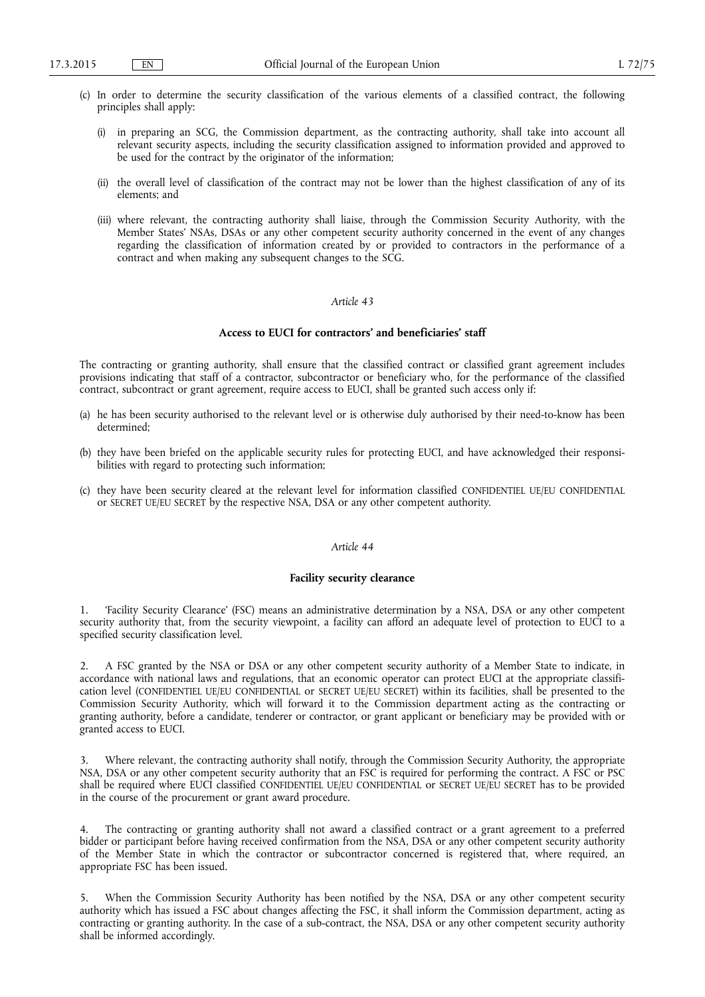- (c) In order to determine the security classification of the various elements of a classified contract, the following principles shall apply:
	- (i) in preparing an SCG, the Commission department, as the contracting authority, shall take into account all relevant security aspects, including the security classification assigned to information provided and approved to be used for the contract by the originator of the information;
	- (ii) the overall level of classification of the contract may not be lower than the highest classification of any of its elements; and
	- (iii) where relevant, the contracting authority shall liaise, through the Commission Security Authority, with the Member States' NSAs, DSAs or any other competent security authority concerned in the event of any changes regarding the classification of information created by or provided to contractors in the performance of a contract and when making any subsequent changes to the SCG.

### **Access to EUCI for contractors' and beneficiaries' staff**

The contracting or granting authority, shall ensure that the classified contract or classified grant agreement includes provisions indicating that staff of a contractor, subcontractor or beneficiary who, for the performance of the classified contract, subcontract or grant agreement, require access to EUCI, shall be granted such access only if:

- (a) he has been security authorised to the relevant level or is otherwise duly authorised by their need-to-know has been determined;
- (b) they have been briefed on the applicable security rules for protecting EUCI, and have acknowledged their responsibilities with regard to protecting such information;
- (c) they have been security cleared at the relevant level for information classified CONFIDENTIEL UE/EU CONFIDENTIAL or SECRET UE/EU SECRET by the respective NSA, DSA or any other competent authority.

#### *Article 44*

### **Facility security clearance**

1. 'Facility Security Clearance' (FSC) means an administrative determination by a NSA, DSA or any other competent security authority that, from the security viewpoint, a facility can afford an adequate level of protection to EUCI to a specified security classification level.

2. A FSC granted by the NSA or DSA or any other competent security authority of a Member State to indicate, in accordance with national laws and regulations, that an economic operator can protect EUCI at the appropriate classification level (CONFIDENTIEL UE/EU CONFIDENTIAL or SECRET UE/EU SECRET) within its facilities, shall be presented to the Commission Security Authority, which will forward it to the Commission department acting as the contracting or granting authority, before a candidate, tenderer or contractor, or grant applicant or beneficiary may be provided with or granted access to EUCI.

3. Where relevant, the contracting authority shall notify, through the Commission Security Authority, the appropriate NSA, DSA or any other competent security authority that an FSC is required for performing the contract. A FSC or PSC shall be required where EUCI classified CONFIDENTIEL UE/EU CONFIDENTIAL or SECRET UE/EU SECRET has to be provided in the course of the procurement or grant award procedure.

The contracting or granting authority shall not award a classified contract or a grant agreement to a preferred bidder or participant before having received confirmation from the NSA, DSA or any other competent security authority of the Member State in which the contractor or subcontractor concerned is registered that, where required, an appropriate FSC has been issued.

5. When the Commission Security Authority has been notified by the NSA, DSA or any other competent security authority which has issued a FSC about changes affecting the FSC, it shall inform the Commission department, acting as contracting or granting authority. In the case of a sub-contract, the NSA, DSA or any other competent security authority shall be informed accordingly.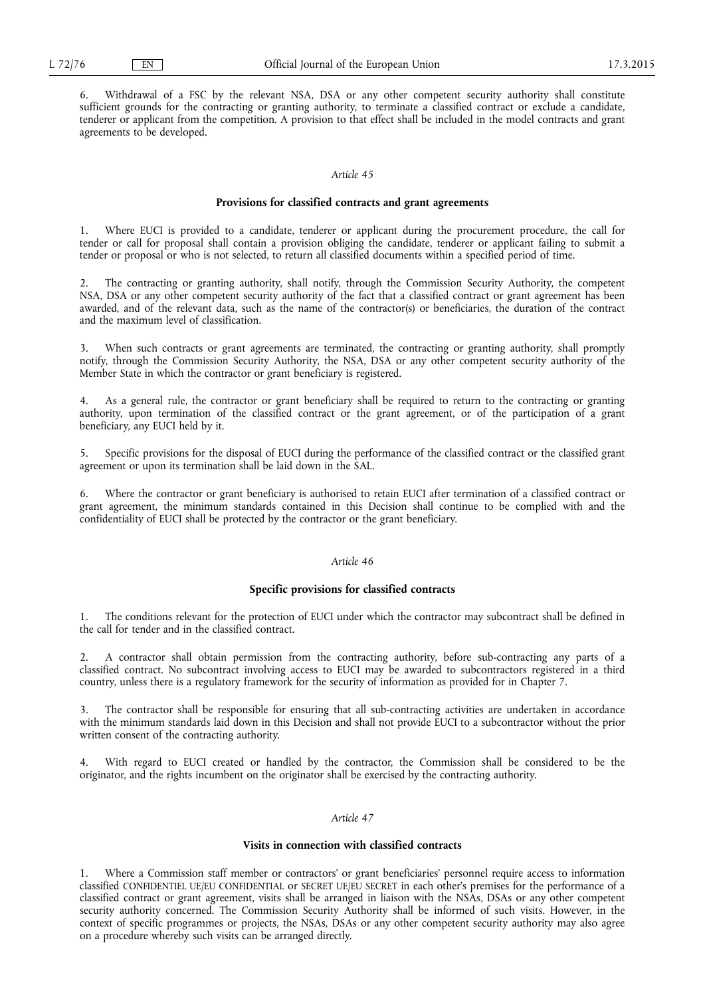6. Withdrawal of a FSC by the relevant NSA, DSA or any other competent security authority shall constitute sufficient grounds for the contracting or granting authority, to terminate a classified contract or exclude a candidate, tenderer or applicant from the competition. A provision to that effect shall be included in the model contracts and grant agreements to be developed.

### *Article 45*

#### **Provisions for classified contracts and grant agreements**

1. Where EUCI is provided to a candidate, tenderer or applicant during the procurement procedure, the call for tender or call for proposal shall contain a provision obliging the candidate, tenderer or applicant failing to submit a tender or proposal or who is not selected, to return all classified documents within a specified period of time.

2. The contracting or granting authority, shall notify, through the Commission Security Authority, the competent NSA, DSA or any other competent security authority of the fact that a classified contract or grant agreement has been awarded, and of the relevant data, such as the name of the contractor(s) or beneficiaries, the duration of the contract and the maximum level of classification.

3. When such contracts or grant agreements are terminated, the contracting or granting authority, shall promptly notify, through the Commission Security Authority, the NSA, DSA or any other competent security authority of the Member State in which the contractor or grant beneficiary is registered.

4. As a general rule, the contractor or grant beneficiary shall be required to return to the contracting or granting authority, upon termination of the classified contract or the grant agreement, or of the participation of a grant beneficiary, any EUCI held by it.

5. Specific provisions for the disposal of EUCI during the performance of the classified contract or the classified grant agreement or upon its termination shall be laid down in the SAL.

6. Where the contractor or grant beneficiary is authorised to retain EUCI after termination of a classified contract or grant agreement, the minimum standards contained in this Decision shall continue to be complied with and the confidentiality of EUCI shall be protected by the contractor or the grant beneficiary.

#### *Article 46*

### **Specific provisions for classified contracts**

1. The conditions relevant for the protection of EUCI under which the contractor may subcontract shall be defined in the call for tender and in the classified contract.

2. A contractor shall obtain permission from the contracting authority, before sub-contracting any parts of a classified contract. No subcontract involving access to EUCI may be awarded to subcontractors registered in a third country, unless there is a regulatory framework for the security of information as provided for in Chapter 7.

The contractor shall be responsible for ensuring that all sub-contracting activities are undertaken in accordance with the minimum standards laid down in this Decision and shall not provide EUCI to a subcontractor without the prior written consent of the contracting authority.

With regard to EUCI created or handled by the contractor, the Commission shall be considered to be the originator, and the rights incumbent on the originator shall be exercised by the contracting authority.

#### *Article 47*

#### **Visits in connection with classified contracts**

1. Where a Commission staff member or contractors' or grant beneficiaries' personnel require access to information classified CONFIDENTIEL UE/EU CONFIDENTIAL or SECRET UE/EU SECRET in each other's premises for the performance of a classified contract or grant agreement, visits shall be arranged in liaison with the NSAs, DSAs or any other competent security authority concerned. The Commission Security Authority shall be informed of such visits. However, in the context of specific programmes or projects, the NSAs, DSAs or any other competent security authority may also agree on a procedure whereby such visits can be arranged directly.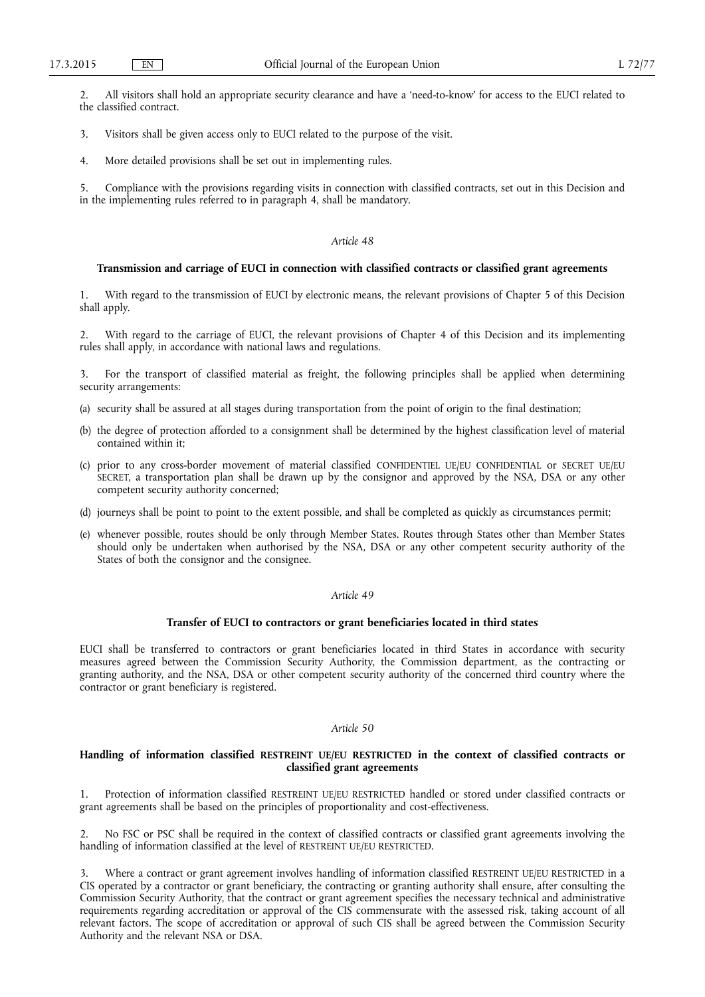2. All visitors shall hold an appropriate security clearance and have a 'need-to-know' for access to the EUCI related to the classified contract.

3. Visitors shall be given access only to EUCI related to the purpose of the visit.

4. More detailed provisions shall be set out in implementing rules.

5. Compliance with the provisions regarding visits in connection with classified contracts, set out in this Decision and in the implementing rules referred to in paragraph 4, shall be mandatory.

#### *Article 48*

#### **Transmission and carriage of EUCI in connection with classified contracts or classified grant agreements**

With regard to the transmission of EUCI by electronic means, the relevant provisions of Chapter 5 of this Decision shall apply.

2. With regard to the carriage of EUCI, the relevant provisions of Chapter 4 of this Decision and its implementing rules shall apply, in accordance with national laws and regulations.

3. For the transport of classified material as freight, the following principles shall be applied when determining security arrangements:

- (a) security shall be assured at all stages during transportation from the point of origin to the final destination;
- (b) the degree of protection afforded to a consignment shall be determined by the highest classification level of material contained within it;
- (c) prior to any cross-border movement of material classified CONFIDENTIEL UE/EU CONFIDENTIAL or SECRET UE/EU SECRET, a transportation plan shall be drawn up by the consignor and approved by the NSA, DSA or any other competent security authority concerned;
- (d) journeys shall be point to point to the extent possible, and shall be completed as quickly as circumstances permit;
- (e) whenever possible, routes should be only through Member States. Routes through States other than Member States should only be undertaken when authorised by the NSA, DSA or any other competent security authority of the States of both the consignor and the consignee.

### *Article 49*

#### **Transfer of EUCI to contractors or grant beneficiaries located in third states**

EUCI shall be transferred to contractors or grant beneficiaries located in third States in accordance with security measures agreed between the Commission Security Authority, the Commission department, as the contracting or granting authority, and the NSA, DSA or other competent security authority of the concerned third country where the contractor or grant beneficiary is registered.

#### *Article 50*

#### **Handling of information classified RESTREINT UE/EU RESTRICTED in the context of classified contracts or classified grant agreements**

1. Protection of information classified RESTREINT UE/EU RESTRICTED handled or stored under classified contracts or grant agreements shall be based on the principles of proportionality and cost-effectiveness.

2. No FSC or PSC shall be required in the context of classified contracts or classified grant agreements involving the handling of information classified at the level of RESTREINT UE/EU RESTRICTED.

3. Where a contract or grant agreement involves handling of information classified RESTREINT UE/EU RESTRICTED in a CIS operated by a contractor or grant beneficiary, the contracting or granting authority shall ensure, after consulting the Commission Security Authority, that the contract or grant agreement specifies the necessary technical and administrative requirements regarding accreditation or approval of the CIS commensurate with the assessed risk, taking account of all relevant factors. The scope of accreditation or approval of such CIS shall be agreed between the Commission Security Authority and the relevant NSA or DSA.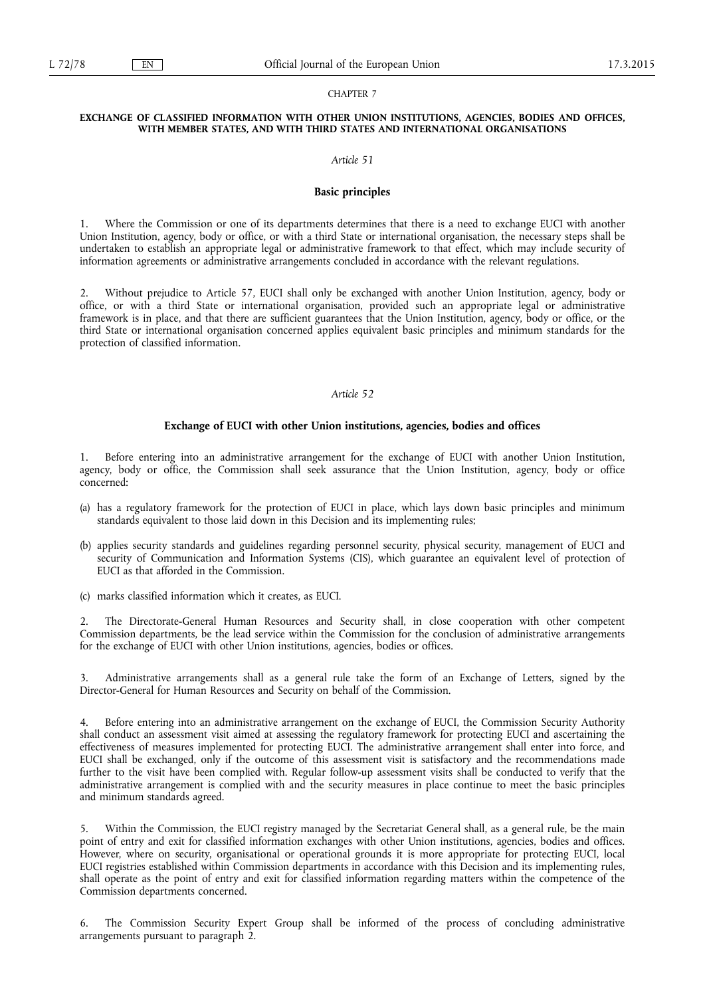#### CHAPTER 7

#### **EXCHANGE OF CLASSIFIED INFORMATION WITH OTHER UNION INSTITUTIONS, AGENCIES, BODIES AND OFFICES, WITH MEMBER STATES, AND WITH THIRD STATES AND INTERNATIONAL ORGANISATIONS**

#### *Article 51*

#### **Basic principles**

1. Where the Commission or one of its departments determines that there is a need to exchange EUCI with another Union Institution, agency, body or office, or with a third State or international organisation, the necessary steps shall be undertaken to establish an appropriate legal or administrative framework to that effect, which may include security of information agreements or administrative arrangements concluded in accordance with the relevant regulations.

2. Without prejudice to Article 57, EUCI shall only be exchanged with another Union Institution, agency, body or office, or with a third State or international organisation, provided such an appropriate legal or administrative framework is in place, and that there are sufficient guarantees that the Union Institution, agency, body or office, or the third State or international organisation concerned applies equivalent basic principles and minimum standards for the protection of classified information.

### *Article 52*

#### **Exchange of EUCI with other Union institutions, agencies, bodies and offices**

1. Before entering into an administrative arrangement for the exchange of EUCI with another Union Institution, agency, body or office, the Commission shall seek assurance that the Union Institution, agency, body or office concerned:

- (a) has a regulatory framework for the protection of EUCI in place, which lays down basic principles and minimum standards equivalent to those laid down in this Decision and its implementing rules;
- (b) applies security standards and guidelines regarding personnel security, physical security, management of EUCI and security of Communication and Information Systems (CIS), which guarantee an equivalent level of protection of EUCI as that afforded in the Commission.
- (c) marks classified information which it creates, as EUCI.

2. The Directorate-General Human Resources and Security shall, in close cooperation with other competent Commission departments, be the lead service within the Commission for the conclusion of administrative arrangements for the exchange of EUCI with other Union institutions, agencies, bodies or offices.

3. Administrative arrangements shall as a general rule take the form of an Exchange of Letters, signed by the Director-General for Human Resources and Security on behalf of the Commission.

Before entering into an administrative arrangement on the exchange of EUCI, the Commission Security Authority shall conduct an assessment visit aimed at assessing the regulatory framework for protecting EUCI and ascertaining the effectiveness of measures implemented for protecting EUCI. The administrative arrangement shall enter into force, and EUCI shall be exchanged, only if the outcome of this assessment visit is satisfactory and the recommendations made further to the visit have been complied with. Regular follow-up assessment visits shall be conducted to verify that the administrative arrangement is complied with and the security measures in place continue to meet the basic principles and minimum standards agreed.

5. Within the Commission, the EUCI registry managed by the Secretariat General shall, as a general rule, be the main point of entry and exit for classified information exchanges with other Union institutions, agencies, bodies and offices. However, where on security, organisational or operational grounds it is more appropriate for protecting EUCI, local EUCI registries established within Commission departments in accordance with this Decision and its implementing rules, shall operate as the point of entry and exit for classified information regarding matters within the competence of the Commission departments concerned.

6. The Commission Security Expert Group shall be informed of the process of concluding administrative arrangements pursuant to paragraph 2.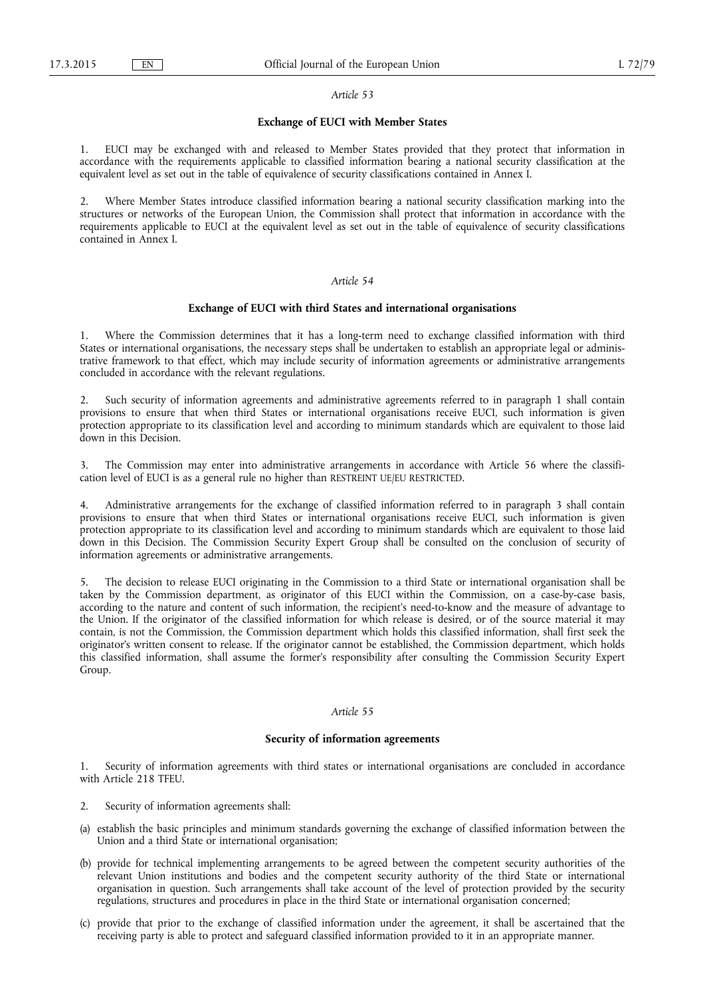#### **Exchange of EUCI with Member States**

1. EUCI may be exchanged with and released to Member States provided that they protect that information in accordance with the requirements applicable to classified information bearing a national security classification at the equivalent level as set out in the table of equivalence of security classifications contained in Annex I.

2. Where Member States introduce classified information bearing a national security classification marking into the structures or networks of the European Union, the Commission shall protect that information in accordance with the requirements applicable to EUCI at the equivalent level as set out in the table of equivalence of security classifications contained in Annex I.

### *Article 54*

#### **Exchange of EUCI with third States and international organisations**

1. Where the Commission determines that it has a long-term need to exchange classified information with third States or international organisations, the necessary steps shall be undertaken to establish an appropriate legal or administrative framework to that effect, which may include security of information agreements or administrative arrangements concluded in accordance with the relevant regulations.

2. Such security of information agreements and administrative agreements referred to in paragraph 1 shall contain provisions to ensure that when third States or international organisations receive EUCI, such information is given protection appropriate to its classification level and according to minimum standards which are equivalent to those laid down in this Decision.

3. The Commission may enter into administrative arrangements in accordance with Article 56 where the classification level of EUCI is as a general rule no higher than RESTREINT UE/EU RESTRICTED.

4. Administrative arrangements for the exchange of classified information referred to in paragraph 3 shall contain provisions to ensure that when third States or international organisations receive EUCI, such information is given protection appropriate to its classification level and according to minimum standards which are equivalent to those laid down in this Decision. The Commission Security Expert Group shall be consulted on the conclusion of security of information agreements or administrative arrangements.

5. The decision to release EUCI originating in the Commission to a third State or international organisation shall be taken by the Commission department, as originator of this EUCI within the Commission, on a case-by-case basis, according to the nature and content of such information, the recipient's need-to-know and the measure of advantage to the Union. If the originator of the classified information for which release is desired, or of the source material it may contain, is not the Commission, the Commission department which holds this classified information, shall first seek the originator's written consent to release. If the originator cannot be established, the Commission department, which holds this classified information, shall assume the former's responsibility after consulting the Commission Security Expert Group.

### *Article 55*

#### **Security of information agreements**

1. Security of information agreements with third states or international organisations are concluded in accordance with Article 218 TFEU.

- 2. Security of information agreements shall:
- (a) establish the basic principles and minimum standards governing the exchange of classified information between the Union and a third State or international organisation;
- (b) provide for technical implementing arrangements to be agreed between the competent security authorities of the relevant Union institutions and bodies and the competent security authority of the third State or international organisation in question. Such arrangements shall take account of the level of protection provided by the security regulations, structures and procedures in place in the third State or international organisation concerned;
- (c) provide that prior to the exchange of classified information under the agreement, it shall be ascertained that the receiving party is able to protect and safeguard classified information provided to it in an appropriate manner.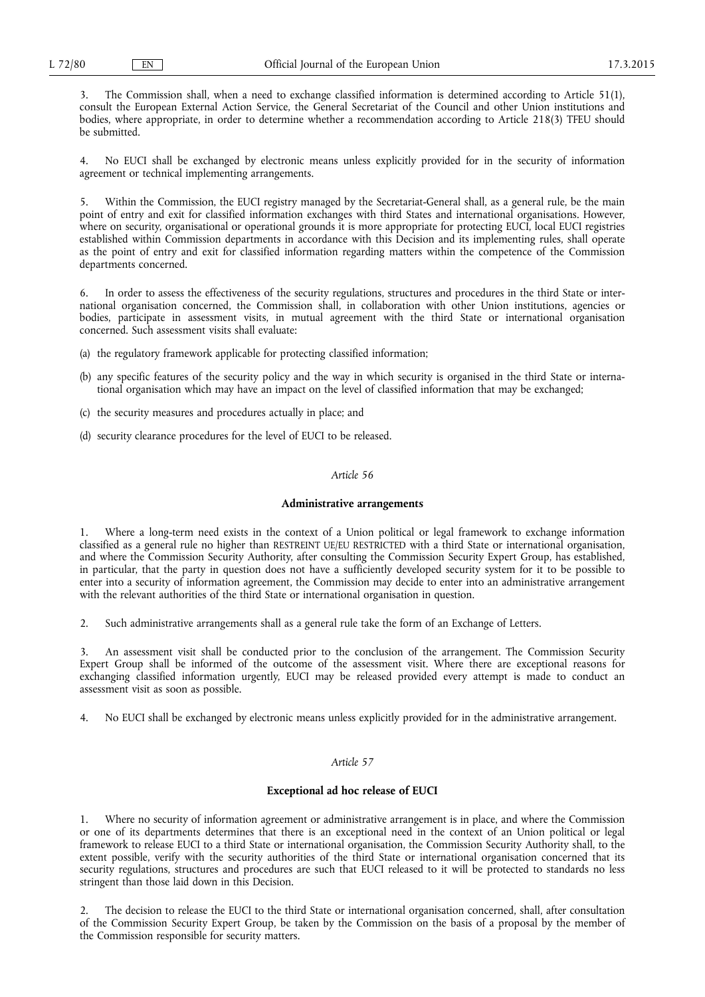3. The Commission shall, when a need to exchange classified information is determined according to Article 51(1), consult the European External Action Service, the General Secretariat of the Council and other Union institutions and bodies, where appropriate, in order to determine whether a recommendation according to Article 218(3) TFEU should be submitted.

4. No EUCI shall be exchanged by electronic means unless explicitly provided for in the security of information agreement or technical implementing arrangements.

5. Within the Commission, the EUCI registry managed by the Secretariat-General shall, as a general rule, be the main point of entry and exit for classified information exchanges with third States and international organisations. However, where on security, organisational or operational grounds it is more appropriate for protecting EUCI, local EUCI registries established within Commission departments in accordance with this Decision and its implementing rules, shall operate as the point of entry and exit for classified information regarding matters within the competence of the Commission departments concerned.

6. In order to assess the effectiveness of the security regulations, structures and procedures in the third State or international organisation concerned, the Commission shall, in collaboration with other Union institutions, agencies or bodies, participate in assessment visits, in mutual agreement with the third State or international organisation concerned. Such assessment visits shall evaluate:

- (a) the regulatory framework applicable for protecting classified information;
- (b) any specific features of the security policy and the way in which security is organised in the third State or international organisation which may have an impact on the level of classified information that may be exchanged;
- (c) the security measures and procedures actually in place; and
- (d) security clearance procedures for the level of EUCI to be released.

#### *Article 56*

#### **Administrative arrangements**

1. Where a long-term need exists in the context of a Union political or legal framework to exchange information classified as a general rule no higher than RESTREINT UE/EU RESTRICTED with a third State or international organisation, and where the Commission Security Authority, after consulting the Commission Security Expert Group, has established, in particular, that the party in question does not have a sufficiently developed security system for it to be possible to enter into a security of information agreement, the Commission may decide to enter into an administrative arrangement with the relevant authorities of the third State or international organisation in question.

2. Such administrative arrangements shall as a general rule take the form of an Exchange of Letters.

3. An assessment visit shall be conducted prior to the conclusion of the arrangement. The Commission Security Expert Group shall be informed of the outcome of the assessment visit. Where there are exceptional reasons for exchanging classified information urgently, EUCI may be released provided every attempt is made to conduct an assessment visit as soon as possible.

4. No EUCI shall be exchanged by electronic means unless explicitly provided for in the administrative arrangement.

### *Article 57*

#### **Exceptional ad hoc release of EUCI**

1. Where no security of information agreement or administrative arrangement is in place, and where the Commission or one of its departments determines that there is an exceptional need in the context of an Union political or legal framework to release EUCI to a third State or international organisation, the Commission Security Authority shall, to the extent possible, verify with the security authorities of the third State or international organisation concerned that its security regulations, structures and procedures are such that EUCI released to it will be protected to standards no less stringent than those laid down in this Decision.

2. The decision to release the EUCI to the third State or international organisation concerned, shall, after consultation of the Commission Security Expert Group, be taken by the Commission on the basis of a proposal by the member of the Commission responsible for security matters.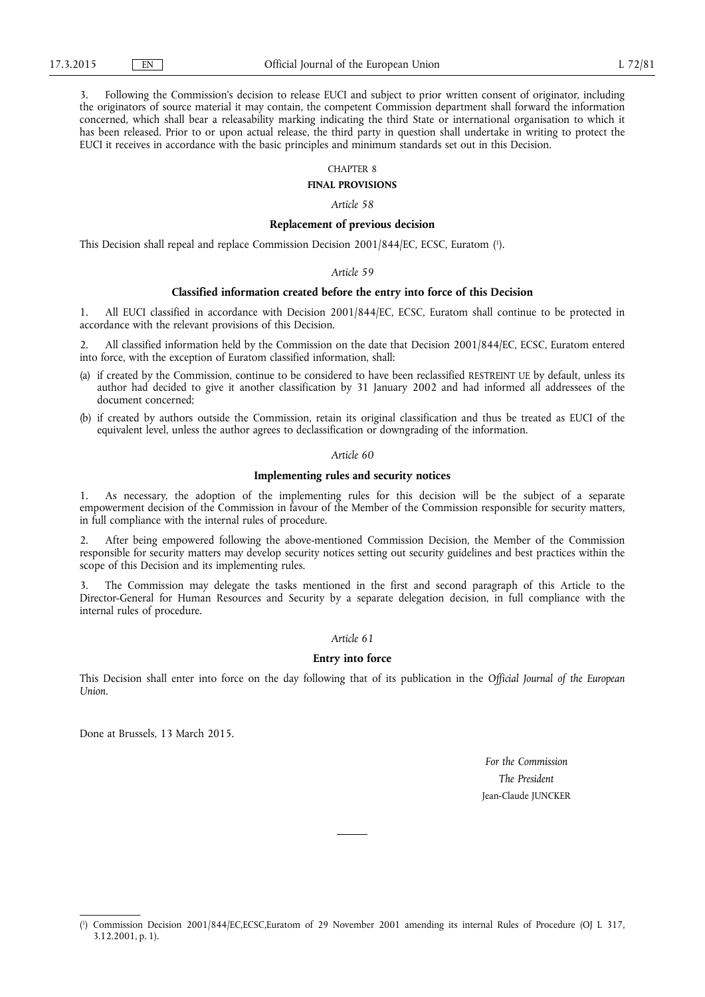3. Following the Commission's decision to release EUCI and subject to prior written consent of originator, including the originators of source material it may contain, the competent Commission department shall forward the information concerned, which shall bear a releasability marking indicating the third State or international organisation to which it has been released. Prior to or upon actual release, the third party in question shall undertake in writing to protect the EUCI it receives in accordance with the basic principles and minimum standards set out in this Decision.

#### CHAPTER 8

**FINAL PROVISIONS** 

*Article 58* 

### **Replacement of previous decision**

This Decision shall repeal and replace Commission Decision 2001/844/EC, ECSC, Euratom ( 1 ).

#### *Article 59*

### **Classified information created before the entry into force of this Decision**

1. All EUCI classified in accordance with Decision 2001/844/EC, ECSC, Euratom shall continue to be protected in accordance with the relevant provisions of this Decision.

2. All classified information held by the Commission on the date that Decision 2001/844/EC, ECSC, Euratom entered into force, with the exception of Euratom classified information, shall:

- (a) if created by the Commission, continue to be considered to have been reclassified RESTREINT UE by default, unless its author had decided to give it another classification by 31 January 2002 and had informed all addressees of the document concerned;
- (b) if created by authors outside the Commission, retain its original classification and thus be treated as EUCI of the equivalent level, unless the author agrees to declassification or downgrading of the information.

#### *Article 60*

#### **Implementing rules and security notices**

1. As necessary, the adoption of the implementing rules for this decision will be the subject of a separate empowerment decision of the Commission in favour of the Member of the Commission responsible for security matters, in full compliance with the internal rules of procedure.

2. After being empowered following the above-mentioned Commission Decision, the Member of the Commission responsible for security matters may develop security notices setting out security guidelines and best practices within the scope of this Decision and its implementing rules.

3. The Commission may delegate the tasks mentioned in the first and second paragraph of this Article to the Director-General for Human Resources and Security by a separate delegation decision, in full compliance with the internal rules of procedure.

#### *Article 61*

#### **Entry into force**

This Decision shall enter into force on the day following that of its publication in the *Official Journal of the European Union*.

Done at Brussels, 13 March 2015.

*For the Commission The President*  Jean-Claude JUNCKER

<sup>(</sup> 1 ) Commission Decision 2001/844/EC,ECSC,Euratom of 29 November 2001 amending its internal Rules of Procedure (OJ L 317, 3.12.2001, p. 1).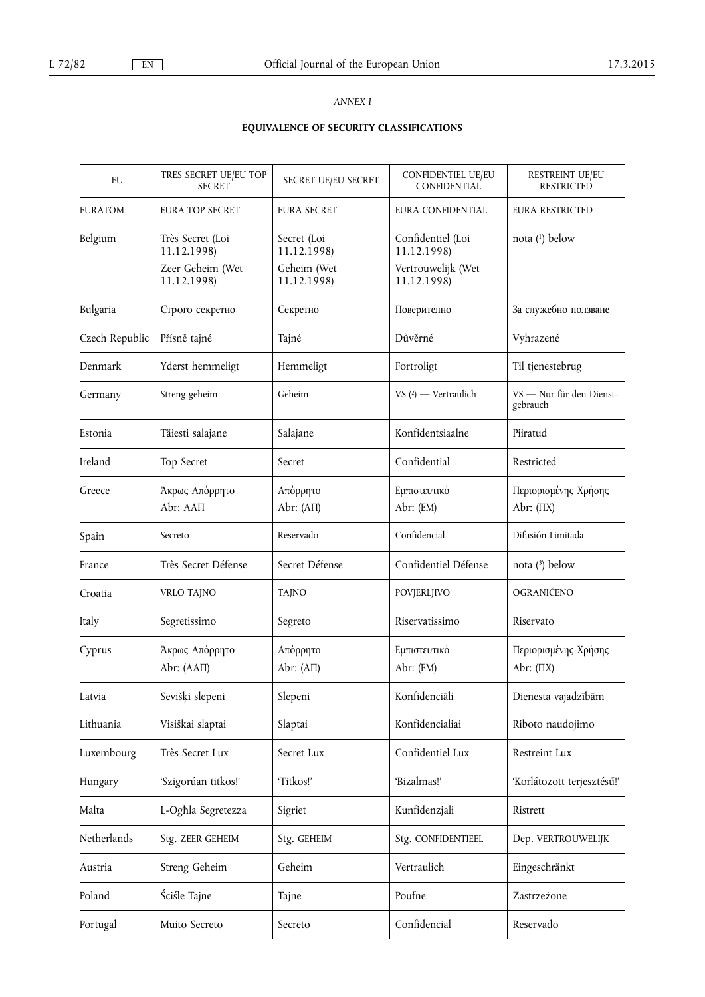### *ANNEX I*

# **EQUIVALENCE OF SECURITY CLASSIFICATIONS**

| EU             | TRES SECRET UE/EU TOP<br><b>SECRET</b>                             | SECRET UE/EU SECRET                                      | <b>CONFIDENTIEL UE/EU</b><br><b>CONFIDENTIAL</b>                      | RESTREINT UE/EU<br><b>RESTRICTED</b>   |
|----------------|--------------------------------------------------------------------|----------------------------------------------------------|-----------------------------------------------------------------------|----------------------------------------|
| <b>EURATOM</b> | <b>EURA TOP SECRET</b>                                             | <b>EURA SECRET</b>                                       | EURA CONFIDENTIAL                                                     | <b>EURA RESTRICTED</b>                 |
| Belgium        | Très Secret (Loi<br>11.12.1998)<br>Zeer Geheim (Wet<br>11.12.1998) | Secret (Loi<br>11.12.1998)<br>Geheim (Wet<br>11.12.1998) | Confidentiel (Loi<br>11.12.1998)<br>Vertrouwelijk (Wet<br>11.12.1998) | nota (1) below                         |
| Bulgaria       | Строго секретно                                                    | Секретно                                                 | Поверително                                                           | За служебно ползване                   |
| Czech Republic | Přísně tajné                                                       | Tajné                                                    | Důvěrné                                                               | Vyhrazené                              |
| Denmark        | Yderst hemmeligt                                                   | Hemmeligt                                                | Fortroligt                                                            | Til tjenestebrug                       |
| Germany        | Streng geheim                                                      | Geheim                                                   | VS $(2)$ - Vertraulich                                                | VS - Nur für den Dienst-<br>gebrauch   |
| Estonia        | Täiesti salajane                                                   | Salajane                                                 | Konfidentsiaalne                                                      | Piiratud                               |
| Ireland        | Top Secret                                                         | Secret                                                   | Confidential                                                          | Restricted                             |
| Greece         | Άκρως Απόρρητο<br>Abr: AAΠ                                         | Απόρρητο<br>Abr: $(A\Pi)$                                | Εμπιστευτικό<br>Abr: (EM)                                             | Περιορισμένης Χρήσης<br>Abr: $(\Pi X)$ |
| Spain          | Secreto                                                            | Reservado                                                | Confidencial                                                          | Difusión Limitada                      |
| France         | Très Secret Défense                                                | Secret Défense                                           | Confidentiel Défense                                                  | nota $(3)$ below                       |
| Croatia        | VRLO TAJNO                                                         | TAJNO                                                    | POVJERLJIVO                                                           | OGRANIČENO                             |
| Italy          | Segretissimo                                                       | Segreto                                                  | Riservatissimo                                                        | Riservato                              |
| Cyprus         | Άκρως Απόρρητο<br>Abr: (ΑΑΠ)                                       | Απόρρητο<br>Abr: $(A\Pi)$                                | Εμπιστευτικό<br>Abr: (EM)                                             | Περιορισμένης Χρήσης<br>Abr: $(\Pi X)$ |
| Latvia         | Sevišķi slepeni                                                    | Slepeni                                                  | Konfidenciāli                                                         | Dienesta vajadzībām                    |
| Lithuania      | Visiškai slaptai                                                   | Slaptai                                                  | Konfidencialiai                                                       | Riboto naudojimo                       |
| Luxembourg     | Très Secret Lux                                                    | Secret Lux                                               | Confidentiel Lux                                                      | Restreint Lux                          |
| Hungary        | 'Szigorúan titkos!'                                                | 'Titkos!'                                                | 'Bizalmas!'                                                           | 'Korlátozott terjesztésű!'             |
| Malta          | L-Oghla Segretezza                                                 | Sigriet                                                  | Kunfidenzjali                                                         | Ristrett                               |
| Netherlands    | Stg. ZEER GEHEIM                                                   | Stg. GEHEIM                                              | Stg. CONFIDENTIEEL                                                    | Dep. VERTROUWELIJK                     |
| Austria        | Streng Geheim                                                      | Geheim                                                   | Vertraulich                                                           | Eingeschränkt                          |
| Poland         | Ściśle Tajne                                                       | Tajne                                                    | Poufne                                                                | Zastrzeżone                            |
| Portugal       | Muito Secreto                                                      | Secreto                                                  | Confidencial                                                          | Reservado                              |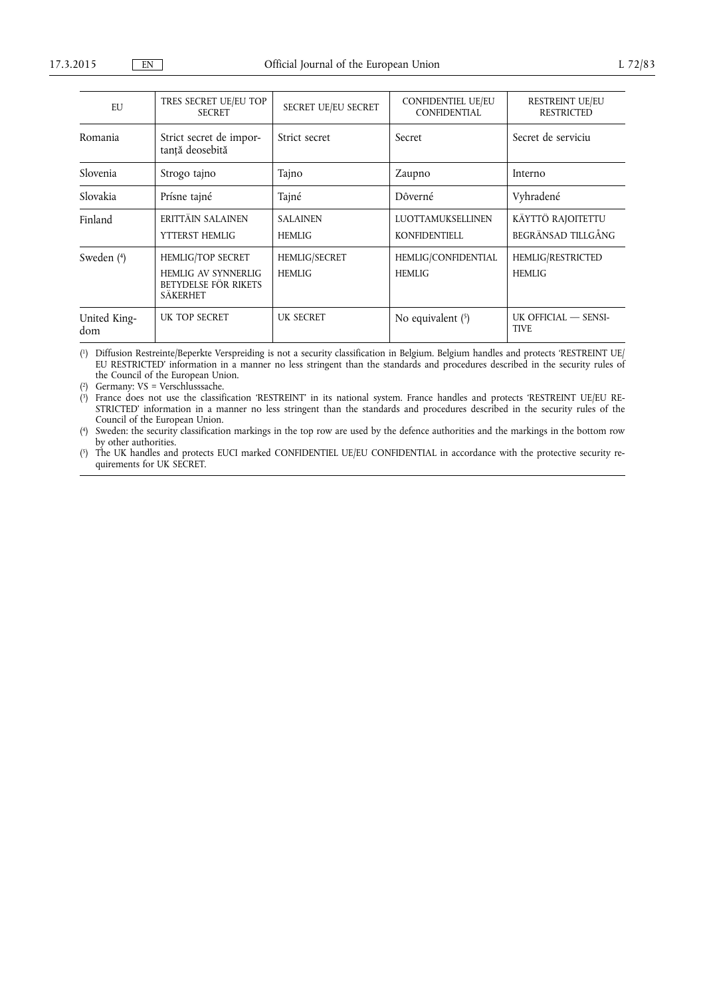| EU                  | TRES SECRET UE/EU TOP<br><b>SECRET</b>                                                     | SECRET UE/EU SECRET              | <b>CONFIDENTIEL UE/EU</b><br><b>CONFIDENTIAL</b> | <b>RESTREINT UE/EU</b><br><b>RESTRICTED</b> |
|---------------------|--------------------------------------------------------------------------------------------|----------------------------------|--------------------------------------------------|---------------------------------------------|
| Romania             | Strict secret de impor-<br>tanță deosebită                                                 | Strict secret                    | Secret                                           | Secret de serviciu                          |
| Slovenia            | Strogo tajno                                                                               | Tajno                            | Zaupno                                           | Interno                                     |
| Slovakia            | Prísne tajné                                                                               | Tajné                            | Dôverné                                          | Vyhradené                                   |
| Finland             | ERITTÄIN SALAINEN<br>YTTERST HEMLIG                                                        | <b>SALAINEN</b><br><b>HEMLIG</b> | LUOTTAMUKSELLINEN<br><b>KONFIDENTIELL</b>        | KÄYTTÖ RAJOITETTU<br>BEGRÄNSAD TILLGÅNG     |
| Sweden (4)          | <b>HEMLIG/TOP SECRET</b><br><b>HEMLIG AV SYNNERLIG</b><br>BETYDELSE FÖR RIKETS<br>SÄKERHET | HEMLIG/SECRET<br><b>HEMLIG</b>   | HEMLIG/CONFIDENTIAL<br><b>HEMLIG</b>             | HEMLIG/RESTRICTED<br><b>HEMLIG</b>          |
| United King-<br>dom | UK TOP SECRET                                                                              | <b>UK SECRET</b>                 | No equivalent (5)                                | UK OFFICIAL - SENSI-<br><b>TIVE</b>         |

( 1) Diffusion Restreinte/Beperkte Verspreiding is not a security classification in Belgium. Belgium handles and protects 'RESTREINT UE/ EU RESTRICTED' information in a manner no less stringent than the standards and procedures described in the security rules of the Council of the European Union.

( 2) Germany: VS = Verschlusssache.

 $(3)$ 3) France does not use the classification 'RESTREINT' in its national system. France handles and protects 'RESTREINT UE/EU RE-STRICTED' information in a manner no less stringent than the standards and procedures described in the security rules of the Council of the European Union.

 $(4)$ Sweden: the security classification markings in the top row are used by the defence authorities and the markings in the bottom row by other authorities.

 $(5)$ 5) The UK handles and protects EUCI marked CONFIDENTIEL UE/EU CONFIDENTIAL in accordance with the protective security requirements for UK SECRET.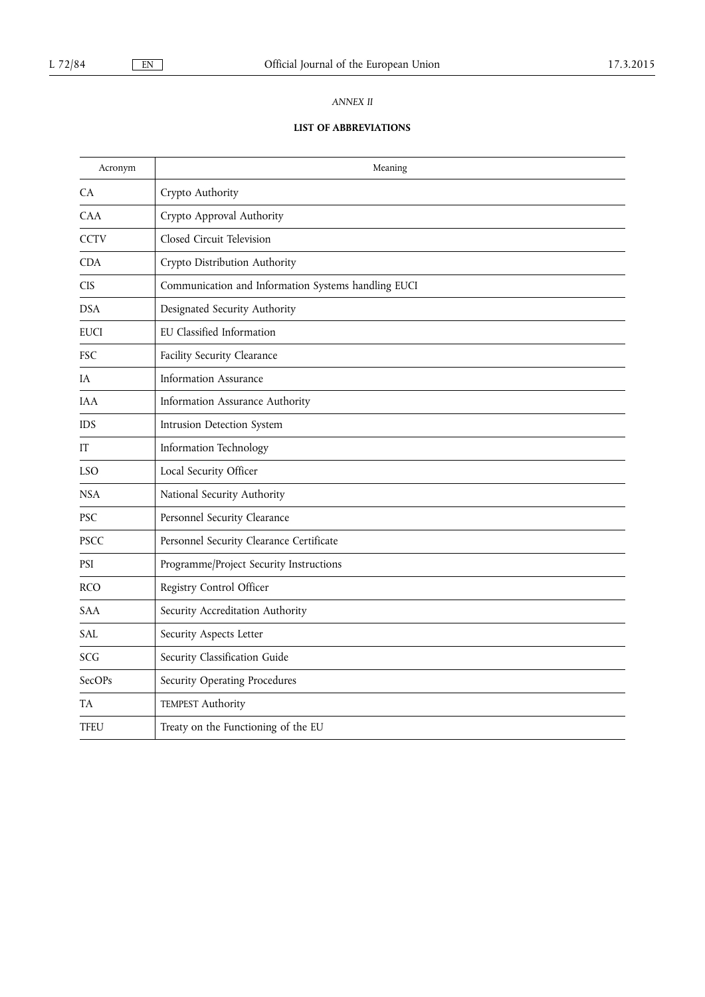### *ANNEX II*

## **LIST OF ABBREVIATIONS**

| Acronym     | Meaning                                             |
|-------------|-----------------------------------------------------|
| <b>CA</b>   | Crypto Authority                                    |
| <b>CAA</b>  | Crypto Approval Authority                           |
| <b>CCTV</b> | Closed Circuit Television                           |
| <b>CDA</b>  | Crypto Distribution Authority                       |
| <b>CIS</b>  | Communication and Information Systems handling EUCI |
| <b>DSA</b>  | Designated Security Authority                       |
| <b>EUCI</b> | EU Classified Information                           |
| <b>FSC</b>  | Facility Security Clearance                         |
| IA          | <b>Information Assurance</b>                        |
| <b>IAA</b>  | Information Assurance Authority                     |
| <b>IDS</b>  | Intrusion Detection System                          |
| IT          | Information Technology                              |
| LSO         | Local Security Officer                              |
| <b>NSA</b>  | National Security Authority                         |
| <b>PSC</b>  | Personnel Security Clearance                        |
| <b>PSCC</b> | Personnel Security Clearance Certificate            |
| PSI         | Programme/Project Security Instructions             |
| <b>RCO</b>  | Registry Control Officer                            |
| SAA         | Security Accreditation Authority                    |
| SAL         | Security Aspects Letter                             |
| SCG         | Security Classification Guide                       |
| SecOPs      | Security Operating Procedures                       |
| TA          | TEMPEST Authority                                   |
| <b>TFEU</b> | Treaty on the Functioning of the EU                 |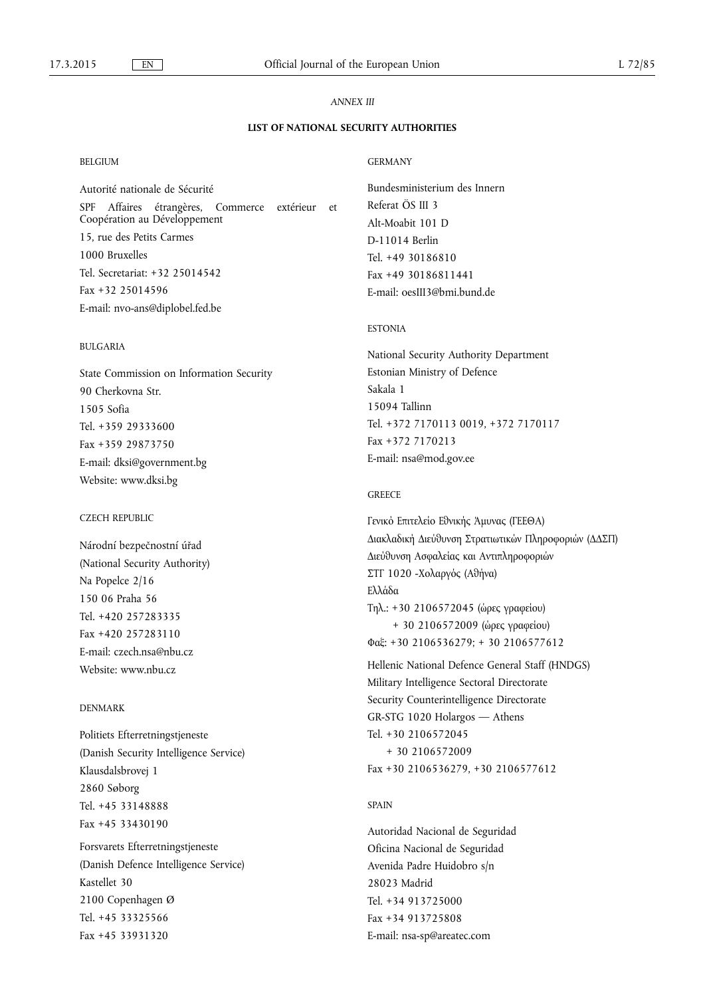### *ANNEX III*

### **LIST OF NATIONAL SECURITY AUTHORITIES**

### BELGIUM

Autorité nationale de Sécurité SPF Affaires étrangères, Commerce extérieur et Coopération au Développement 15, rue des Petits Carmes 1000 Bruxelles Tel. Secretariat: +32 25014542 Fax +32 25014596 E-mail: [nvo-ans@diplobel.fed.be](mailto:nvo-ans@diplobel.fed.be) 

### BULGARIA

State Commission on Information Security 90 Cherkovna Str. 1505 Sofia Tel. +359 29333600 Fax +359 29873750 E-mail: [dksi@government.bg](mailto:dksi@government.bg)  Website: [www.dksi.bg](http://www.dksi.bg)

### CZECH REPUBLIC

Národní bezpečnostní úřad (National Security Authority) Na Popelce 2/16 150 06 Praha 56 Tel. +420 257283335 Fax +420 257283110 E-mail: [czech.nsa@nbu.cz](mailto:czech.nsa@nbu.cz) Website: [www.nbu.cz](http://www.nbu.cz) 

#### DENMARK

Politiets Efterretningstjeneste (Danish Security Intelligence Service) Klausdalsbrovej 1 2860 Søborg Tel. +45 33148888 Fax +45 33430190

Forsvarets Efterretningstjeneste (Danish Defence Intelligence Service) Kastellet 30 2100 Copenhagen Ø Tel. +45 33325566 Fax +45 33931320

### GERMANY

Bundesministerium des Innern Referat ÖS III 3 Alt-Moabit 101 D D-11014 Berlin Tel. +49 30186810 Fax +49 30186811441 E-mail: [oesIII3@bmi.bund.de](mailto:oesIII3@bmi.bund.de)

#### ESTONIA

National Security Authority Department Estonian Ministry of Defence Sakala 1 15094 Tallinn Tel. +372 7170113 0019, +372 7170117 Fax +372 7170213 E-mail: [nsa@mod.gov.ee](mailto:nsa@mod.gov.ee) 

#### **GREECE**

Γενικό Επιτελείο Εθνικής Άμυνας (ΓΕΕΘΑ) Διακλαδική Διεύθυνση Στρατιωτικών Πληροφοριών (ΔΔΣΠ) Διεύθυνση Ασφαλείας και Αντιπληροφοριών ΣΤΓ 1020 -Χολαργός (Αθήνα) Ελλάδα Τηλ.: +30 2106572045 (ώρες γραφείου) + 30 2106572009 (ώρες γραφείου) ƒαƪ: +30 2106536279; + 30 2106577612

Hellenic National Defence General Staff (HNDGS) Military Intelligence Sectoral Directorate Security Counterintelligence Directorate GR-STG 1020 Holargos — Athens Tel. +30 2106572045 + 30 2106572009 Fax +30 2106536279, +30 2106577612

#### SPAIN

Autoridad Nacional de Seguridad Oficina Nacional de Seguridad Avenida Padre Huidobro s/n 28023 Madrid Tel. +34 913725000 Fax +34 913725808 E-mail: [nsa-sp@areatec.com](mailto:nsa-sp@areatec.com)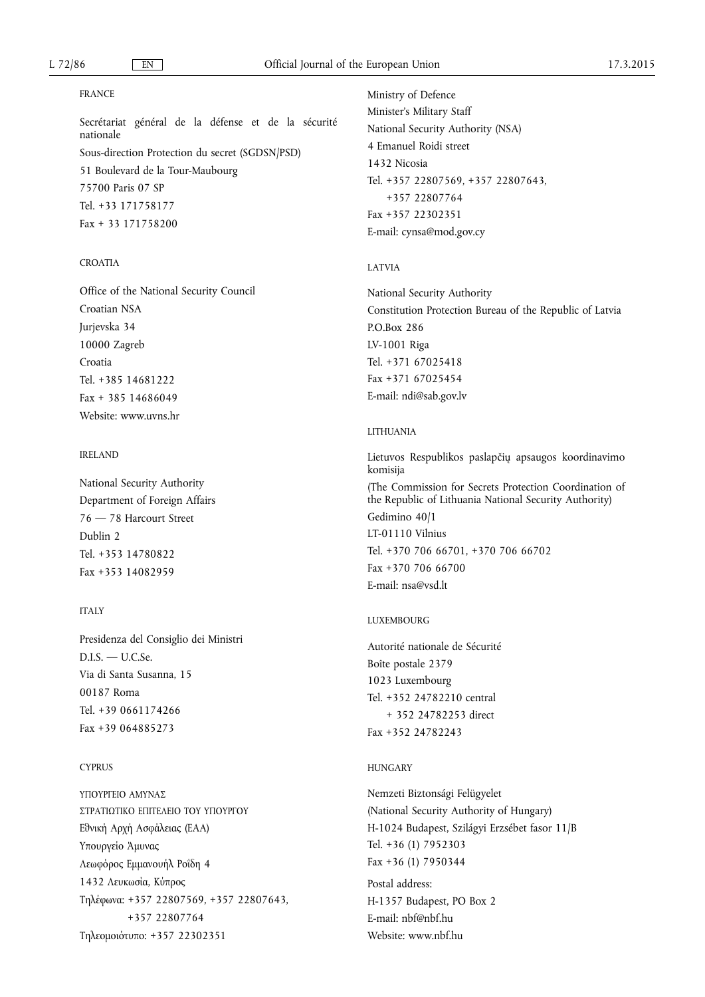### FRANCE

Secrétariat général de la défense et de la sécurité nationale Sous-direction Protection du secret (SGDSN/PSD) 51 Boulevard de la Tour-Maubourg 75700 Paris 07 SP Tel. +33 171758177 Fax + 33 171758200

### CROATIA

Office of the National Security Council Croatian NSA Jurjevska 34 10000 Zagreb Croatia Tel. +385 14681222 Fax + 385 14686049 Website: [www.uvns.hr](http://www.uvns.hr) 

### IRELAND

National Security Authority Department of Foreign Affairs 76 — 78 Harcourt Street Dublin 2 Tel. +353 14780822 Fax +353 14082959

#### **ITALY**

Presidenza del Consiglio dei Ministri  $D.I.S. - U.C.Se.$ Via di Santa Susanna, 15 00187 Roma Tel. +39 0661174266 Fax +39 064885273

#### CYPRUS

ΥΠΟΥΡΓΕΙΟ ΑΜΥΝΑΣ ΣΤΡΑΤΙΩΤΙΚΟ ΕΠΙΤΕΛΕΙΟ ΤΟΥ ΥΠΟΥΡΓΟΥ Εθνική Αρχή Ασφάλειας (ΕΑΑ) Υπουργείο Άμυνας Λεωφόρος Εμμανουήλ Ροΐδη 4 1432 Λευκωσία, Κύπρος ƐƣƧƙƱωƩα: +357 22807569, +357 22807643, +357 22807764 Τηλεομοιότυπο: +357 22302351

Ministry of Defence Minister's Military Staff National Security Authority (NSA) 4 Emanuel Roidi street 1432 Nicosia Tel. +357 22807569, +357 22807643, +357 22807764 Fax +357 22302351 E-mail: [cynsa@mod.gov.cy](mailto:cynsa@mod.gov.cy) 

### LATVIA

National Security Authority Constitution Protection Bureau of the Republic of Latvia P.O.Box 286 LV-1001 Riga Tel. +371 67025418 Fax +371 67025454 E-mail: [ndi@sab.gov.lv](mailto:ndi@sab.gov.lv)

#### LITHUANIA

Lietuvos Respublikos paslapčių apsaugos koordinavimo komisija (The Commission for Secrets Protection Coordination of the Republic of Lithuania National Security Authority) Gedimino 40/1 LT-01110 Vilnius Tel. +370 706 66701, +370 706 66702 Fax +370 706 66700 E-mail: [nsa@vsd.lt](mailto:nsa@vsd.lt)

### LUXEMBOURG

Autorité nationale de Sécurité Boîte postale 2379 1023 Luxembourg Tel. +352 24782210 central + 352 24782253 direct Fax +352 24782243

#### HUNGARY

Nemzeti Biztonsági Felügyelet (National Security Authority of Hungary) H-1024 Budapest, Szilágyi Erzsébet fasor 11/B Tel. +36 (1) 7952303 Fax +36 (1) 7950344

Postal address: H-1357 Budapest, PO Box 2 E-mail: [nbf@nbf.hu](mailto:nbf@nbf.hu)  Website: [www.nbf.hu](http://www.nbf.hu)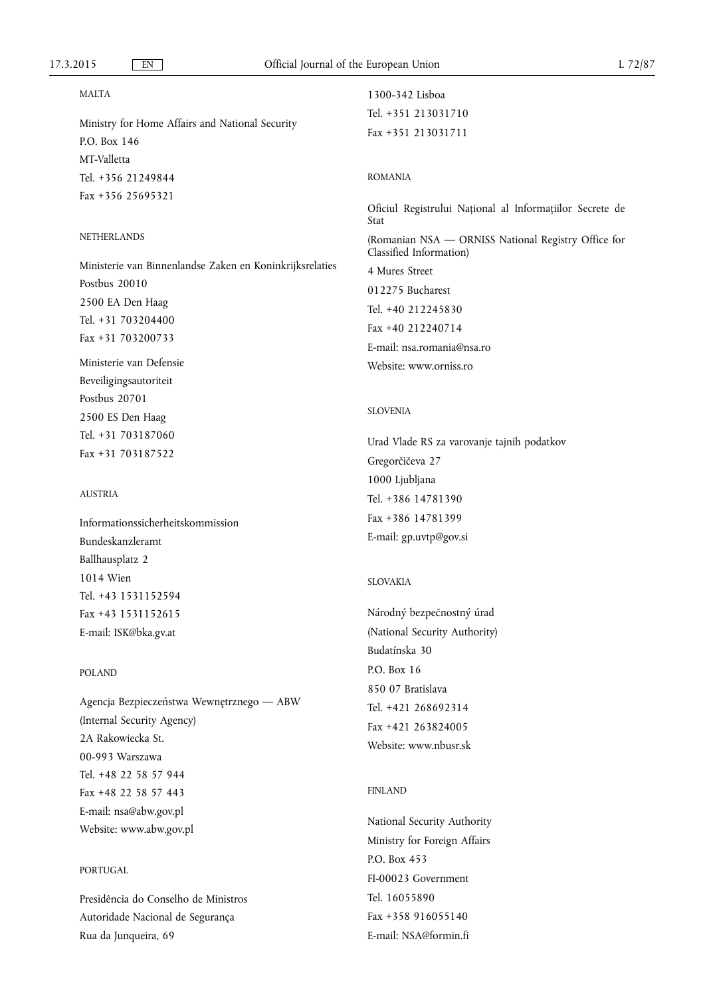### MALTA

Ministry for Home Affairs and National Security P.O. Box 146 MT-Valletta Tel. +356 21249844 Fax +356 25695321

### **NETHERLANDS**

Ministerie van Binnenlandse Zaken en Koninkrijksrelaties Postbus 20010 2500 EA Den Haag Tel. +31 703204400 Fax +31 703200733

Ministerie van Defensie Beveiligingsautoriteit Postbus 20701 2500 ES Den Haag Tel. +31 703187060 Fax +31 703187522

### **AUSTRIA**

Informationssicherheitskommission Bundeskanzleramt Ballhausplatz 2 1014 Wien Tel. +43 1531152594 Fax +43 1531152615 E-mail: [ISK@bka.gv.at](mailto:ISK@bka.gv.at)

#### POLAND

Agencja Bezpieczeństwa Wewnętrznego — ABW (Internal Security Agency) 2A Rakowiecka St. 00-993 Warszawa Tel. +48 22 58 57 944 Fax +48 22 58 57 443 E-mail: [nsa@abw.gov.pl](mailto:nsa@abw.gov.pl) Website: [www.abw.gov.pl](http://www.abw.gov.pl)

### PORTUGAL

Presidência do Conselho de Ministros Autoridade Nacional de Segurança Rua da Junqueira, 69

# 1300-342 Lisboa Tel. +351 213031710 Fax +351 213031711

### ROMANIA

Oficiul Registrului Național al Informațiilor Secrete de Stat (Romanian NSA — ORNISS National Registry Office for Classified Information) 4 Mures Street 012275 Bucharest Tel. +40 212245830 Fax +40 212240714 E-mail: [nsa.romania@nsa.ro](mailto:nsa.romania@nsa.ro)  Website: [www.orniss.ro](http://www.orniss.ro) 

### SLOVENIA

Urad Vlade RS za varovanje tajnih podatkov Gregorčičeva 27 1000 Ljubljana Tel. +386 14781390 Fax +386 14781399 E-mail: [gp.uvtp@gov.si](mailto:gp.uvtp@gov.si)

### SLOVAKIA

Národný bezpečnostný úrad (National Security Authority) Budatínska 30 P.O. Box 16 850 07 Bratislava Tel. +421 268692314 Fax +421 263824005 Website: [www.nbusr.sk](http://www.nbusr.sk) 

#### FINLAND

National Security Authority Ministry for Foreign Affairs P.O. Box 453 FI-00023 Government Tel. 16055890 Fax +358 916055140 E-mail: [NSA@formin.fi](mailto:NSA@formin.fi)